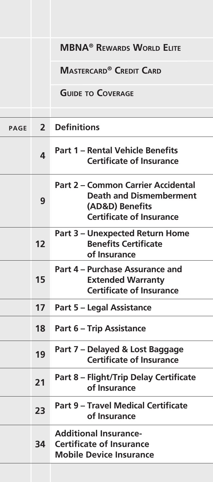|             |                | <b>MBNA<sup>®</sup> REWARDS WORLD ELITE</b>                                                                                       |  |
|-------------|----------------|-----------------------------------------------------------------------------------------------------------------------------------|--|
|             |                | <b>MASTERCARD<sup>®</sup> CREDIT CARD</b>                                                                                         |  |
|             |                | <b>GUIDE TO COVERAGE</b>                                                                                                          |  |
| <b>PAGE</b> | 2 <sup>1</sup> | <b>Definitions</b>                                                                                                                |  |
|             | 4              | <b>Part 1 - Rental Vehicle Benefits</b><br><b>Certificate of Insurance</b>                                                        |  |
|             | 9              | <b>Part 2 - Common Carrier Accidental</b><br><b>Death and Dismemberment</b><br>(AD&D) Benefits<br><b>Certificate of Insurance</b> |  |
|             | 12             | <b>Part 3 - Unexpected Return Home</b><br><b>Benefits Certificate</b><br>of Insurance                                             |  |
|             | 15             | Part 4 – Purchase Assurance and<br><b>Extended Warranty</b><br><b>Certificate of Insurance</b>                                    |  |
|             | 17             | <b>Part 5 - Legal Assistance</b>                                                                                                  |  |
|             | 18             | <b>Part 6 - Trip Assistance</b>                                                                                                   |  |
|             | 19             | Part 7 - Delayed & Lost Baggage<br><b>Certificate of Insurance</b>                                                                |  |
|             | 21             | Part 8 - Flight/Trip Delay Certificate<br>of Insurance                                                                            |  |
|             | 23             | <b>Part 9 - Travel Medical Certificate</b><br>of Insurance                                                                        |  |
|             | 34             | <b>Additional Insurance-</b><br><b>Certificate of Insurance</b><br><b>Mobile Device Insurance</b>                                 |  |
|             |                |                                                                                                                                   |  |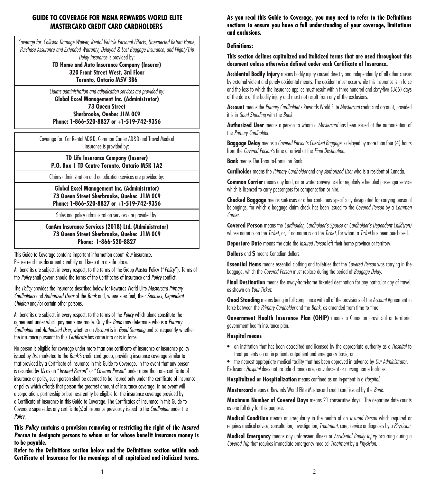## **GUIDE TO COVERAGE FOR MBNA REWARDS WORLD ELITE MASTERCARD CREDIT CARD CARDHOLDERS**

*Coverage for: Collision Damage Waiver, Rental Vehicle Personal Effects, Unexpected Return Home, Purchase Assurance and Extended Warranty, Delayed & Lost Baggage Insurance, and Flight/Trip Delay Insurance* is provided by:

**TD Home and Auto Insurance Company (Insurer) 320 Front Street West, 3rd Floor Toronto, Ontario M5V 3B6**

*Claims administration and adjudication services are provided by:* **Global Excel Management Inc. (Administrator) 73 Queen Street Sherbrooke, Quebec J1M 0C9 Phone: 1-866-520-8827 or +1-519-742-9356**

Coverage for: Car Rental AD&D, Common Carrier AD&D and Travel Medical Insurance is provided by:

# **TD Life Insurance Company (Insurer) P.O. Box 1 TD Centre Toronto, Ontario M5K 1A2**

Claims administration and adjudication services are provided by:

**Global Excel Management Inc. (Administrator) 73 Queen Street Sherbrooke, Quebec J1M 0C9 Phone: 1-866-520-8827 or +1-519-742-9356**

Sales and policy administration services are provided by:

**CanAm Insurance Services (2018) Ltd. (Administrator) 73 Queen Street Sherbrooke, Quebec J1M 0C9 Phone: 1-866-520-8827**

This Guide to Coverage contains important information about *Your* insurance. Please read this document carefully and keep it in a safe place.

All benefits are subject, in every respect, to the terms of the Group Master Policy ("*Policy*"). Terms of the *Policy* shall govern should the terms of the Certificates of Insurance and *Policy* conflict.

The *Policy* provides the insurance described below for Rewards World Elite *Mastercard Primary Cardholders* and *Authorized Users* of the *Bank* and, where specified, their *Spouses, Dependent Children* and/or certain other persons.

All benefits are subject, in every respect, to the terms of the *Policy* which alone constitute the agreement under which payments are made. Only the *Bank* may determine who is a *Primary Cardholder* and *Authorized User*, whether an *Account* is in *Good Standing* and consequently whether the insurance pursuant to this *Certificate* has come into or is in force.

No person is eligible for coverage under more than one certificate of insurance or insurance policy issued by *Us*, marketed to the *Bank's* credit card group, providing insurance coverage similar to that provided by a Certificate of Insurance in this Guide to Coverage. In the event that any person is recorded by *Us* as an "*Insured Person*" or "*Covered Person*" under more than one certificate of insurance or policy, such person shall be deemed to be insured only under the certificate of insurance or policy which affords that person the greatest amount of insurance coverage. In no event will a corporation, partnership or business entity be eligible for the insurance coverage provided by a Certificate of Insurance in this Guide to Coverage. The Certificates of Insurance in this Guide to Coverage supersedes any certificate(s)of insurance previously issued to the *Cardholder* under the *Policy*.

### **This** *Policy* **contains a provision removing or restricting the right of the** *Insured Person* **to designate persons to whom or for whose benefit insurance money is to be payable.**

**Refer to the Definitions section below and the Definitions section within each Certificate of Insurance for the meanings of all capitalized and italicized terms.**  **As you read this Guide to Coverage, you may need to refer to the Definitions sections to ensure you have a full understanding of your coverage, limitations and exclusions.**

### **Definitions:**

**This section defines capitalized and italicized terms that are used throughout this document unless otherwise defined under each Certificate of Insurance.**

**Accidental Bodily Injury** means bodily injury caused directly and independently of all other causes by external violent and purely accidental means. The accident must occur while this insurance is in force and the loss to which the insurance applies must result within three hundred and sixty-five (365) days of the date of the bodily injury and must not result from any of the exclusions.

**Account** means the *Primary Cardholder*'s Rewards World Elite *Mastercard* credit card account, provided it is in *Good Standing* with the *Bank*.

**Authorized User** means a person to whom a *Mastercard* has been issued at the authorization of the *Primary Cardholder*.

**Baggage Delay** means a *Covered Person's Checked Baggage* is delayed by more than four (4) hours from the *Covered Person's* time of arrival at the *Final Destination*.

**Bank** means The Toronto-Dominion Bank.

**Cardholder** means the *Primary Cardholder* and any *Authorized User* who is a resident of Canada.

**Common Carrier** means any land, air or water conveyance for regularly scheduled passenger service which is licenced to carry passengers for compensation or hire.

**Checked Baggage** means suitcases or other containers specifically designated for carrying personal belongings, for which a baggage claim check has been issued to the *Covered Person* by a *Common Carrier*.

**Covered Person** means the *Cardholder, Cardholder's Spouse* or *Cardholder's Dependent Child(ren)* whose name is on the *Ticket*, or, if no name is on the *Ticket*, for whom a *Ticket* has been purchased.

**Departure Date** means the date the *Insured Person* left their home province or territory.

**Dollars** and **\$** means Canadian dollars.

**Essential Items** means essential clothing and toiletries that the *Covered Person* was carrying in the baggage, which the *Covered Person* must replace during the period of *Baggage Delay*.

**Final Destination** means the away-from-home ticketed destination for any particular day of travel, as shown on *Your Ticket*.

**Good Standing** means being in full compliance with all of the provisions of the *Account* Agreement in force between the *Primary Cardholder* and the *Bank*, as amended from time to time.

**Government Health Insurance Plan (GHIP)** means a Canadian provincial or territorial government health insurance plan.

#### **Hospital means**

• an institution that has been accredited and licensed by the appropriate authority as a *Hospital* to treat patients on an in-patient, outpatient and emergency basis; or

• the nearest appropriate medical facility that has been approved in advance by *Our Administrator*. Exclusion: *Hospital* does not include chronic care, convalescent or nursing home facilities.

**Hospitalized or Hospitalization** means confined as an in-patient in a *Hospital*.

**Mastercard** means a Rewards World Elite Mastercard credit card issued by the *Bank*.

**Maximum Number of Covered Days** means 21 consecutive days. The departure date counts as one full day for this purpose.

**Medical Condition** means an irregularity in the health of an *Insured Person* which required or requires medical advice, consultation, investigation, *Treatment*, care, service or diagnosis by a *Physician*.

**Medical Emergency** means any unforeseen illness or *Accidental Bodily Injury* occurring during a *Covered Trip* that requires immediate emergency medical *Treatment* by a *Physician*.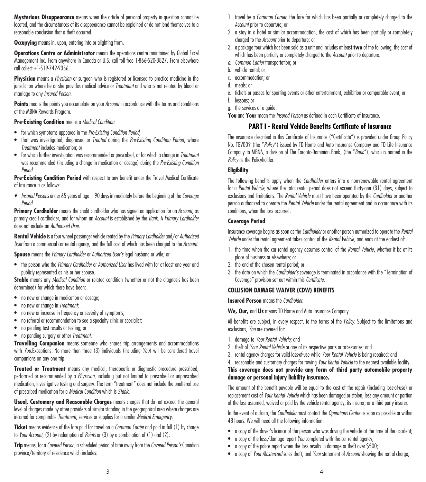**Mysterious Disappearance** means when the article of personal property in question cannot be located, and the circumstances of its disappearance cannot be explained or do not lend themselves to a reasonable conclusion that a theft occurred.

**Occupying** means in, upon, entering into or alighting from.

**Operations Centre or Administrator** means the operations centre maintained by Global Excel Management Inc. From anywhere in Canada or U.S. call toll free 1-866-520-8827. From elsewhere call collect +1-519-742-9356.

**Physician** means a *Physician* or surgeon who is registered or licensed to practice medicine in the jurisdiction where he or she provides medical advice or *Treatment* and who is not related by blood or marriage to any *Insured Person*.

**Points** means the points you accumulate on your *Account* in accordance with the terms and conditions of the MBNA Rewards Program.

### **Pre-Existing Condition** means a *Medical Condition*:

- for which symptoms appeared in the *Pre-Existing Condition Period*;
- that was investigated, diagnosed or *Treated* during the *Pre-Existing Condition Period*, where *Treatment* includes medication; or
- for which further investigation was recommended or prescribed, or for which a change in *Treatment* was recommended (including a change in medication or dosage) during the *Pre-Existing Condition Period*.

Pre-Existing Condition Period with respect to any benefit under the Travel Medical Certificate of Insurance is as follows:

*• Insured Persons* under 65 years of age – 90 days immediately before the beginning of the *Coverage Period*.

**Primary Cardholder** means the credit cardholder who has signed an application for an *Account*, as primary credit cardholder, and for whom an *Account* is established by the *Bank*. A *Primary Cardholder* does not include an *Authorized User*.

**Rental Vehicle** is a four wheel passenger vehicle rented by the *Primary Cardholder* and/or *Authorized User* from a commercial car rental agency, and the full cost of which has been charged to the *Account*.

**Spouse** means the *Primary Cardholder* or *Authorized User's* legal husband or wife; or

• the person who the *Primary Cardholder* or *Authorized User* has lived with for at least one year and publicly represented as his or her spouse.

**Stable** means any *Medical Condition* or related condition (whether or not the diagnosis has been determined) for which there have been:

- no new or change in medication or dosage;
- no new or change in *Treatment*;
- no new or increase in frequency or severity of symptoms;
- no referral or recommendation to see a specialty clinic or specialist;
- no pending test results or testing; or
- no pending surgery or other *Treatment*.

**Travelling Companion** means someone who shares trip arrangements and accommodations with *You*.Exceptions: No more than three (3) individuals (including *You*) will be considered travel companions on any one trip.

**Treated or Treatment** means any medical, therapeutic or diagnostic procedure prescribed, performed or recommended by a *Physician*, including but not limited to prescribed or unprescribed medication, investigative testing and surgery. The term "treatment" does not include the unaltered use of prescribed medication for a *Medical Condition* which is *Stable*.

**Usual, Customary and Reasonable Charges** means charges that do not exceed the general level of charges made by other providers of similar standing in the geographical area where charges are incurred for comparable *Treatment*, services or supplies for a similar *Medical Emergency*.

**Ticket** means evidence of the fare paid for travel on a *Common Carrier* and paid in full (1) by charge to *Your Account*, (2) by redemption of *Points* or (3) by a combination of (1) and (2).

**Trip** means, for a *Covered Person*, a scheduled period of time away from the *Covered Person's* Canadian province/territory of residence which includes:

- 1. travel by a *Common Carrier*, the fare for which has been partially or completely charged to the *Account* prior to departure; or
- 2. a stay in a hotel or similar accommodation, the cost of which has been partially or completely charged to the *Account* prior to departure; or
- 3. a package tour which has been sold as a unit and includes at least **two** of the following, the cost of which has been partially or completely charged to the *Account* prior to departure:
- *a. Common Carrier* transportation; or
- b. vehicle rental; or
- c. accommodation; or
- d. meals; or
- e. tickets or passes for sporting events or other entertainment, exhibition or comparable event; or
- f. lessons; or
- g. the services of a guide.

**You** and **Your** mean the *Insured Person* as defined in each Certificate of Insurance.

## **PART I - Rental Vehicle Benefits Certificate of Insurance**

The insurance described in this Certificate of Insurance ("Certificate") is provided under Group Policy No. TGV009 (the "*Policy*") issued by TD Home and Auto Insurance Company and TD Life Insurance Company to MBNA, a division of The Toronto-Dominion Bank, (the "*Bank*"), which is named in the *Policy* as the Policyholder.

### **Eligibility**

The following benefits apply when the *Cardholder* enters into a non-renewable rental agreement for a *Rental Vehicle*, where the total rental period does not exceed thirty-one (31) days, subject to exclusions and limitations. The *Rental Vehicle* must have been operated by the *Cardholder* or another person authorized to operate the *Rental Vehicle* under the rental agreement and in accordance with its conditions, when the loss occurred.

### **Coverage Period**

Insurance coverage begins as soon as the *Cardholder* or another person authorized to operate the *Rental Vehicle* under the rental agreement takes control of the *Rental Vehicle*, and ends at the earliest of:

- 1. the time when the car rental agency assumes control of the *Rental Vehicle*, whether it be at its place of business or elsewhere; or
- 2. the end of the chosen rental period; or
- 3. the date on which the *Cardholder's* coverage is terminated in accordance with the "Termination of Coverage" provision set out within this *Certificate*.

## **COLLISION DAMAGE WAIVER (CDW) BENEFITS**

**Insured Person** means the *Cardholder.*

**We, Our,** and **Us** means TD Home and Auto Insurance Company.

All benefits are subject, in every respect, to the terms of the *Policy*. Subject to the limitations and exclusions, *You* are covered for:

- 1. damage to *Your Rental Vehicle*; and
- 2. theft of *Your Rental Vehicle* or any of its respective parts or accessories; and
- 3. rental agency charges for valid loss-of-use while *Your Rental Vehicle* is being repaired; and
- 4. reasonable and customary charges for towing *Your Rental Vehicle* to the nearest available facility.

# **This coverage does not provide any form of third party automobile property damage or personal injury liability insurance.**

The amount of the benefit payable will be equal to the cost of the repair (including loss-of-use) or replacement cost of *Your Rental Vehicle* which has been damaged or stolen, less any amount or portion of the loss assumed, waived or paid by the vehicle rental agency, its insurer, or a third party insurer.

In the event of a claim, the *Cardholder* must contact the *Operations Centre* as soon as possible or within 48 hours. We will need all the following information:

- a copy of the driver's licence of the person who was driving the vehicle at the time of the accident;
- a copy of the loss/damage report *You* completed with the car rental agency;
- a copy of the police report when the loss results in damage or theft over \$500;
- a copy of *Your Mastercard* sales draft, and *Your* statement of *Account* showing the rental charge;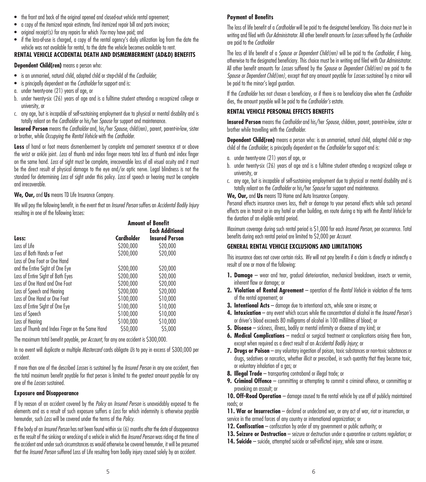- the front and back of the original opened and closed-out vehicle rental agreement;
- a copy of the itemized repair estimate, final itemized repair bill and parts invoices;
- original receipt(s) for any repairs for which *You* may have paid; and
- if the loss-of-use is charged, a copy of the rental agency's daily utilization log from the date the vehicle was not available for rental, to the date the vehicle becomes available to rent.

### **RENTAL VEHICLE ACCIDENTAL DEATH AND DISMEMBERMENT (AD&D) BENEFITS**

**Dependent Child(ren)** means a person who:

- is an unmarried, natural child, adopted child or step-child of the *Cardholder*;
- is principally dependent on the *Cardholder* for support and is:
- a. under twenty-one (21) years of age, or
- b. under twenty-six (26) years of age and is a fulltime student attending a recognized college or university, or
- c. any age, but is incapable of self-sustaining employment due to physical or mental disability and is totally reliant on the *Cardholder* or his/her *Spouse* for support and maintenance.

**Insured Person** means the *Cardholder* and, his/her *Spouse*, child(ren), parent, parent-in-law, sister or brother, while *Occupying* the *Rental Vehicle* with the *Cardholder*.

Loss of hand or foot means dismemberment by complete and permanent severance at or above the wrist or ankle joint. *Loss* of thumb and index finger means total loss of thumb and index finger on the same hand. *Loss* of sight must be complete, irrecoverable loss of all visual acuity and it must be the direct result of physical damage to the eye and/or optic nerve. Legal blindness is not the standard for determining *Loss* of sight under this policy. *Loss* of speech or hearing must be complete and irrecoverable.

**We, Our,** and **Us** means TD Life Insurance Company.

We will pay the following benefit, in the event that an *Insured Person* suffers an *Accidental Bodily Injury*  resulting in one of the following losses:

|                                                 |            | <b>Amount of Benefit</b> |
|-------------------------------------------------|------------|--------------------------|
|                                                 |            | <b>Each Additional</b>   |
| Loss:                                           | Cardholder | <b>Insured Person</b>    |
| Loss of Life                                    | \$200,000  | \$20,000                 |
| Loss of Both Hands or Feet                      | \$200,000  | \$20,000                 |
| Loss of One Foot or One Hand                    |            |                          |
| and the Entire Sight of One Eye                 | \$200,000  | \$20,000                 |
| Loss of Entire Sight of Both Eyes               | \$200,000  | \$20,000                 |
| Loss of One Hand and One Foot                   | \$200,000  | \$20,000                 |
| Loss of Speech and Hearing                      | \$200,000  | \$20,000                 |
| Loss of One Hand or One Foot                    | \$100,000  | \$10,000                 |
| Loss of Entire Sight of One Eye                 | \$100,000  | \$10,000                 |
| Loss of Speech                                  | \$100,000  | \$10,000                 |
| Loss of Hearing                                 | \$100,000  | \$10,000                 |
| Loss of Thumb and Index Finger on the Same Hand | \$50,000   | \$5,000                  |

The maximum total benefit payable, per *Account*, for any one accident is \$300,000.

In no event will duplicate or multiple *Mastercard* cards obligate *Us* to pay in excess of \$300,000 per accident.

If more than one of the described *Losses* is sustained by the *Insured Person* in any one accident, then the total maximum benefit payable for that person is limited to the greatest amount payable for any one of the *Losses* sustained.

### **Exposure and Disappearance**

If by reason of an accident covered by the *Policy* an *Insured Person* is unavoidably exposed to the elements and as a result of such exposure suffers a *Loss* for which indemnity is otherwise payable hereunder, such *Loss* will be covered under the terms of the *Policy*.

If the body of an *Insured Person* has not been found within six (6) months after the date of disappearance as the result of the sinking or wrecking of a vehicle in which the *Insured Person* was riding at the time of the accident and under such circumstances as would otherwise be covered hereunder, it will be presumed that the *Insured Person* suffered Loss of Life resulting from bodily injury caused solely by an accident.

## **Payment of Benefits**

The loss of life benefit of a *Cardholder* will be paid to the designated beneficiary. This choice must be in writing and filed with *Our Administrator*. All other benefit amounts for *Losses* suffered by the *Cardholder* are paid to the *Cardholder*

The loss of life benefit of a *Spouse or Dependent Child(ren)* will be paid to the *Cardholder*, if living, otherwise to the designated beneficiary. This choice must be in writing and filed with Our *Administrator*. All other benefit amounts for *Losses* suffered by the *Spouse* or *Dependent Child(ren)* are paid to the *Spouse or Dependent Child(ren)*, except that any amount payable for *Losses* sustained by a minor will be paid to the minor's legal guardian.

If the *Cardholder* has not chosen a beneficiary, or if there is no beneficiary alive when the *Cardholder* dies, the amount payable will be paid to the *Cardholder's* estate.

## **RENTAL VEHICLE PERSONAL EFFECTS BENEFITS**

**Insured Person** means the *Cardholder* and his/her *Spouse*, children, parent, parent-in-law, sister or brother while travelling with the *Cardholder*.

**Dependent Child(ren)** means a person who: is an unmarried, natural child, adopted child or stepchild of the *Cardholder*; is principally dependent on the *Cardholder* for support and is:

- a. under twenty-one (21) years of age, or
- b. under twenty-six (26) years of age and is a fulltime student attending a recognized college or university, or
- c. any age, but is incapable of self-sustaining employment due to physical or mental disability and is totally reliant on the *Cardholder* or his/her *Spouse* for support and maintenance.

**We, Our,** and **Us** means TD Home and Auto Insurance Company.

Personal effects insurance covers loss, theft or damage to your personal effects while such personal effects are in transit or in any hotel or other building, en route during a trip with the *Rental Vehicle* for the duration of an eligible rental period.

Maximum coverage during such rental period is \$1,000 for each *Insured Person*, per occurrence. Total benefits during each rental period are limited to \$2,000 per *Account*.

## **GENERAL RENTAL VEHICLE EXCLUSIONS AND LIMITATIONS**

This insurance does not cover certain risks. *We* will not pay benefits if a claim is directly or indirectly a result of one or more of the following:

- **1. Damage** wear and tear, gradual deterioration, mechanical breakdown, insects or vermin, inherent flaw or damage; or
- **2. Violation of Rental Agreement** operation of the *Rental Vehicle* in violation of the terms of the rental agreement; or
- **3. Intentional Acts** damage due to intentional acts, while sane or insane; or
- **4. Intoxication** any event which occurs while the concentration of alcohol in the *Insured Person's* or driver's blood exceeds 80 milligrams of alcohol in 100 millilitres of blood; or
- **5. Disease** sickness, illness, bodily or mental infirmity or disease of any kind; or
- **6. Medical Complications** medical or surgical treatment or complications arising there from, except when required as a direct result of an *Accidental Bodily Injury*; or
- **7. Drugs or Poison** any voluntary ingestion of poison, toxic substances or non-toxic substances or drugs, sedatives or narcotics, whether illicit or prescribed, in such quantity that they become toxic, or voluntary inhalation of a gas; or
- **8. Illegal Trade** transporting contraband or illegal trade; or
- **9. Criminal Offence** committing or attempting to commit a criminal offence, or committing or provoking an assault; or

10. Off-Road Operation – damage caused to the rental vehicle by use off of publicly maintained roads; or

11. War or Insurrection – declared or undeclared war, or any act of war, riot or insurrection, or service in the armed forces of any country or international organization; or

- **12. Confiscation** confiscation by order of any government or public authority; or
- **13. Seizure or Destruction** seizure or destruction under a quarantine or customs regulation; or
- **14. Suicide** suicide, attempted suicide or self-inflicted injury, while sane or insane.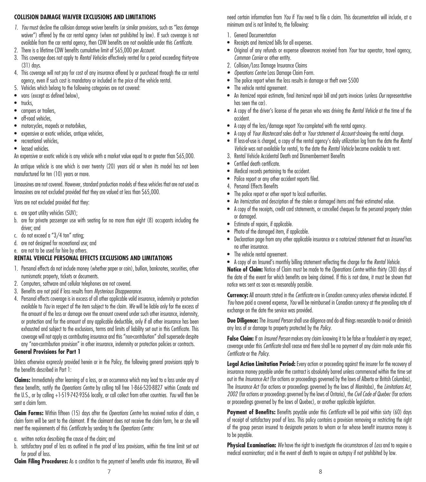### **COLLISION DAMAGE WAIVER EXCLUSIONS AND LIMITATIONS**

- *1. You* must decline the collision damage waiver benefits (or similar provisions, such as "loss damage waiver") offered by the car rental agency (when not prohibited by law). If such coverage is not available from the car rental agency, then CDW benefits are not available under this *Certificate*.
- 2. There is a lifetime CDW benefits cumulative limit of \$65,000 per *Account*.
- 3. This coverage does not apply to *Rental Vehicles* effectively rented for a period exceeding thirty-one (31) days.
- 4. This coverage will not pay for cost of any insurance offered by or purchased through the car rental agency, even if such cost is mandatory or included in the price of the vehicle rental.
- 5. Vehicles which belong to the following categories are not covered:
- vans (except as defined below),
- trucks.
- campers or trailers.
- off-road vehicles.
- motorcycles, mopeds or motorbikes,
- expensive or exotic vehicles, antique vehicles,
- recreational vehicles.
- leased vehicles

An expensive or exotic vehicle is any vehicle with a market value equal to or greater than \$65,000.

An antique vehicle is one which is over twenty (20) years old or when its model has not been manufactured for ten (10) years or more.

Limousines are not covered. However, standard production models of these vehicles that are not used as limousines are not excluded provided that they are valued at less than \$65,000.

Vans are not excluded provided that they:

- a. are sport utility vehicles (SUV);
- b. are for private passenger use with seating for no more than eight (8) occupants including the driver; and
- c. do not exceed a "3/4 ton" rating;
- d. are not designed for recreational use; and
- e. are not to be used for hire by others.

## **RENTAL VEHICLE PERSONAL EFFECTS EXCLUSIONS AND LIMITATIONS**

- 1. Personal effects do not include money (whether paper or coin), bullion, banknotes, securities, other numismatic property, tickets or documents.
- 2. Computers, software and cellular telephones are not covered.
- 3. Benefits are not paid if loss results from *Mysterious Disappearance*.
- 4. Personal effects coverage is in excess of all other applicable valid insurance, indemnity or protection available to *You* in respect of the item subject to the claim. *We* will be liable only for the excess of the amount of the loss or damage over the amount covered under such other insurance, indemnity, or protection and for the amount of any applicable deductible, only if all other insurance has been exhausted and subject to the exclusions, terms and limits of liability set out in this Certificate. This coverage will not apply as contributing insurance and this "non-contribution" shall supersede despite any "non-contribution provision" in other insurance, indemnity or protection policies or contracts.

### **General Provisions for Part 1**

Unless otherwise expressly provided herein or in the Policy, the following general provisions apply to the benefits described in Part 1:

**Claims:** Immediately after learning of a loss, or an occurrence which may lead to a loss under any of these benefits, notify the *Operations Centre* by calling toll free 1-866-520-8827 within Canada and the U.S., or by calling +1-519-742-9356 locally, or call collect from other countries. *You* will then be sent a claim form.

**Claim Forms:** Within fifteen (15) days after the *Operations Centre* has received notice of claim, a claim form will be sent to the claimant. If the claimant does not receive the claim form, he or she will meet the requirements of this *Certificate* by sending to the *Operations Centre:*

- a. written notice describing the cause of the claim; and
- b. satisfactory proof of loss as outlined in the proof of loss provisions, within the time limit set out for proof of loss.

**Claim Filing Procedures:** As a condition to the payment of benefits under this insurance, *We* will

need certain information from *You* if *You* need to file a claim. This documentation will include, at a minimum and is not limited to, the following:

- 1. General Documentation
- Receipts and itemized bills for all expenses.
- Original of any refunds or expense allowances received from *Your* tour operator, travel agency, *Common Carrier* or other entity.
- 2. Collision/Loss Damage Insurance Claims
- *• Operations Centre* Loss Damage Claim Form.
- The police report when the loss results in damage or theft over \$500
- The vehicle rental agreement.
- An itemized repair estimate, final itemized repair bill and parts invoices (unless *Our* representative has seen the car).
- A copy of the driver's license of the person who was driving the *Rental Vehicle* at the time of the accident.
- A copy of the loss/damage report *You* completed with the rental agency.
- A copy of *Your Mastercard* sales draft or *Your* statement of *Account* showing the rental charge.
- If loss-of-use is charged, a copy of the rental agency's daily utilization log from the date the *Rental Vehicle* was not available for rental, to the date the *Rental Vehicle* became available to rent.
- 3. Rental Vehicle Accidental Death and Dismemberment Benefits
- Certified death certificate.
- Medical records pertaining to the accident.
- Police report or any other accident reports filed.
- 4. Personal Effects Benefits
- The police report or other report to local authorities.
- An itemization and description of the stolen or damaged items and their estimated value.
- A copy of the receipts, credit card statements, or cancelled cheques for the personal property stolen or damaged.
- Estimate of repairs, if applicable.
- Photo of the damaged item, if applicable.
- Declaration page from any other applicable insurance or a notarized statement that an *Insured* has no other insurance.
- The vehicle rental agreement.
- A copy of an Insured's monthly billing statement reflecting the charge for the *Rental Vehicle*.

**Notice of Claim:** Notice of Claim must be made to the *Operations Centre* within thirty (30) days of the date of the event for which benefits are being claimed. If this is not done, it must be shown that notice was sent as soon as reasonably possible.

**Currency:** All amounts stated in the *Certificate* are in Canadian currency unless otherwise indicated. If *You* have paid a covered expense, *You* will be reimbursed in Canadian currency at the prevailing rate of exchange on the date the service was provided.

**Due Diligence:** The *Insured Person* shall use diligence and do all things reasonable to avoid or diminish any loss of or damage to property protected by the *Policy*.

**False Claim:** If an *Insured Person* makes any claim knowing it to be false or fraudulent in any respect, coverage under this *Certificate* shall cease and there shall be no payment of any claim made under this *Certificate* or the *Policy*.

**Legal Action Limitation Period:** Every action or proceeding against the insurer for the recovery of insurance money payable under the contract is absolutely barred unless commenced within the time set out in the *Insurance Act* (for actions or proceedings governed by the laws of Alberta or British Columbia), The *Insurance Act* (for actions or proceedings governed by the laws of Manitoba), the *Limitations Act, 2002* (for actions or proceedings governed by the laws of Ontario), the *Civil Code of Quebec* (for actions or proceedings governed by the laws of Quebec), or another applicable legislation.

Payment of Benefits: Benefits payable under this *Certificate* will be paid within sixty (60) days of receipt of satisfactory proof of loss. This policy contains a provision removing or restricting the right of the group person insured to designate persons to whom or for whose benefit insurance money is to be payable.

**Physical Examination:** *We* have the right to investigate the circumstances of *Loss* and to require a medical examination; and in the event of death to require an autopsy if not prohibited by law.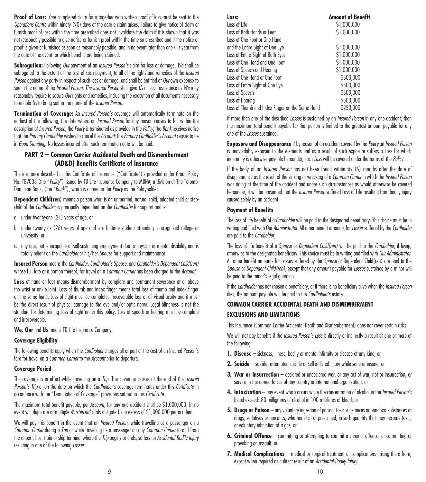**Proof of Loss:** *Your* completed claim form together with written proof of loss must be sent to the *Operations Centre* within ninety (90) days of the date a claim arises. Failure to give notice of claim or furnish proof of loss within the time prescribed does not invalidate the claim if it is shown that it was not reasonably possible to give notice or furnish proof within the time so prescribed and if the notice or proof is given or furnished as soon as reasonably possible, and in no event later than one (1) year from the date of the event for which benefits are being claimed.

**Subrogation:** Following *Our* payment of an *Insured Person's* claim for loss or damage, *We* shall be subrogated to the extent of the cost of such payment, to all of the rights and remedies of the *Insured Person* against any party in respect of such loss or damage, and shall be entitled at *Our* own expense to sue in the name of the *Insured Person*. *The Insured Person* shall give *Us* all such assistance as *We* may reasonably require to secure *Our* rights and remedies, including the execution of all documents necessary to enable *Us* to bring suit in the name of the *Insured Person*.

**Termination of Coverage:** An *Insured Person's* coverage will automatically terminate on the earliest of the following, the date when: an *Insured Person* for any reason ceases to fall within the description of *Insured Person*; the *Policy* is terminated as provided in the *Policy*; the *Bank* receives notice that the Primary Cardholder wishes to cancel the Account; the Primary Cardholder's Account ceases to be in *Good Standing*. No losses incurred after such termination date will be paid.

# **PART 2 – Common Carrier Accidental Death and Dismemberment (AD&D) Benefits Certificate of Insurance**

The insurance described in this Certificate of Insurance ("Certificate")is provided under Group Policy No. TGV008 (the "*Policy*") issued by TD Life Insurance Company to MBNA, a division of The Toronto-Dominion Bank, (the "*Bank*"), which is named in the *Policy* as the Policyholder.

**Dependent Child(ren**) means a person who: is an unmarried, natural child, adopted child or stepchild of the *Cardholder*; is principally dependent on the *Cardholder* for support and is:

- a. under twenty-one (21) years of age, or
- b. under twenty-six (26) years of age and is a fulltime student attending a recognized college or university, or
- c. any age, but is incapable of self-sustaining employment due to physical or mental disability and is totally reliant on the *Cardholder* or his/her *Spouse* for support and maintenance.

**Insured Person** means the *Cardholder*, *Cardholder's Spouse*, and *Cardholder's Dependent Child(ren)* whose full fare or a portion thereof, for travel on a *Common Carrier* has been charged to the *Account*.

**Loss** of hand or foot means dismemberment by complete and permanent severance at or above the wrist or ankle joint. Loss of thumb and index finger means total loss of thumb and index finger on the same hand. Loss of sight must be complete, irrecoverable loss of all visual acuity and it must be the direct result of physical damage to the eye and/or optic nerve. Legal blindness is not the standard for determining Loss of sight under this policy. Loss of speech or hearing must be complete and irrecoverable.

**We, Our** and **Us** means TD Life Insurance Company.

## **Coverage Eligibility**

The following benefits apply when the *Cardholder* charges all or part of the cost of an Insured Person's fare for travel on a *Common Carrier* to the *Account* prior to departure.

### **Coverage Period**

The coverage is in effect while travelling on a *Trip*. The coverage ceases at the end of the I*nsured Person's Trip* or on the date on which the *Cardholder's* coverage terminates under this *Certificate* in accordance with the "Termination of Coverage" provisions set out in this *Certificate*.

The maximum total benefit payable, per *Account*, for any one accident shall be \$1,000,000. In no event will duplicate or multiple *Mastercard* cards obligate Us in excess of \$1,000,000 per accident.

We will pay this benefit in the event that an *Insured Person*, while travelling as a passenger on a *Common Carrier* during a *Trip* or while travelling as a passenger on any *Common Carrier* to and from the airport, bus, train or ship terminal where the *Trip* begins or ends, suffers an *Accidental Bodily Injury*  resulting in one of the following *Losses*:

| Loss:                                           | <b>Amount of Benefit</b> |
|-------------------------------------------------|--------------------------|
| Loss of Life                                    | \$1,000,000              |
| Loss of Both Hands or Feet                      | \$1,000,000              |
| Loss of One Foot or One Hand                    |                          |
| and the Entire Sight of One Eye                 | \$1,000,000              |
| Loss of Entire Sight of Both Eyes               | \$1,000,000              |
| Loss of One Hand and One Foot                   | \$1,000,000              |
| Loss of Speech and Hearing                      | \$1,000,000              |
| Loss of One Hand or One Foot                    | \$500,000                |
| Loss of Entire Sight of One Eye                 | \$500,000                |
| Loss of Speech                                  | \$500,000                |
| Loss of Hearing                                 | \$500,000                |
| Loss of Thumb and Index Finger on the Same Hand | \$250,000                |

If more than one of the described *Losses* is sustained by an *Insured Person* in any one accident, then the maximum total benefit payable for that person is limited to the greatest amount payable for any one of the *Losses* sustained.

**Exposure and Disappearance** If by reason of an accident covered by the *Policy* an *Insured Person* is unavoidably exposed to the elements and as a result of such exposure suffers a Loss for which indemnity is otherwise payable hereunder, such *Loss* will be covered under the terms of the *Policy*.

If the body of an *Insured Person* has not been found within six (6) months after the date of disappearance as the result of the sinking or wrecking of a *Common Carrier* in which the *Insured Person* was riding at the time of the accident and under such circumstances as would otherwise be covered hereunder, it will be presumed that the *Insured Person* suffered Loss of Life resulting from bodily injury caused solely by an accident.

### **Payment of Benefits**

The loss of life benefit of a *Cardholder* will be paid to the designated beneficiary. This choice must be in writing and filed with Our *Administrator*. All other benefit amounts for *Losses* suffered by the *Cardholder* are paid to the *Cardholder.*

The loss of life benefit of a *Spouse* or *Dependent Child(ren)* will be paid to the *Cardholder*, if living, otherwise to the designated beneficiary. This choice must be in writing and filed with *Our Administrator*. All other benefit amounts for Losses suffered by the *Spouse* or Dependent Child(ren) are paid to the *Spouse* or *Dependent Child(ren)*, except that any amount payable for *Losses* sustained by a minor will be paid to the minor's legal guardian.

If the *Cardholder* has not chosen a beneficiary, or if there is no beneficiary alive when the *Insured Person* dies, the amount payable will be paid to the *Cardholder's* estate.

### **COMMON CARRIER ACCIDENTAL DEATH AND DISMEMBERMENT**

### **EXCLUSIONS AND LIMITATIONS**

This insurance (Common Carrier Accidental Death and Dismemberment) does not cover certain risks.

We will not pay benefits if the *Insured Person's Loss* is directly or indirectly a result of one or more of the following:

- **1. Disease** sickness, illness, bodily or mental infirmity or disease of any kind; or
- **2. Suicide** suicide, attempted suicide or self-inflicted injury while sane or insane; or
- **3. War or Insurrection** declared or undeclared war, or any act of war, riot or insurrection, or service in the armed forces of any country or international organization; or
- **4. Intoxication** any event which occurs while the concentration of alcohol in the *Insured Person's* blood exceeds 80 milligrams of alcohol in 100 millilitres of blood; or
- **5. Drugs or Poison** any voluntary ingestion of poison, toxic substances or non-toxic substances or drugs, sedatives or narcotics, whether illicit or prescribed, in such quantity that they become toxic, or voluntary inhalation of a gas; or
- **6. Criminal Offence** committing or attempting to commit a criminal offence, or committing or provoking an assault; or
- **7. Medical Complications** medical or surgical treatment or complications arising there from, except when required as a direct result of an *Accidental Bodily Injury*.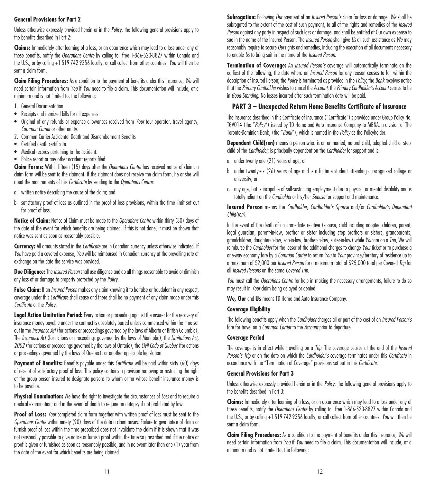# **General Provisions for Part 2**

Unless otherwise expressly provided herein or in the *Policy*, the following general provisions apply to the benefits described in Part 2:

**Claims:** Immediately after learning of a loss, or an occurrence which may lead to a loss under any of these benefits, notify the *Operations Centre* by calling toll free 1-866-520-8827 within Canada and the U.S., or by calling +1-519-742-9356 locally, or call collect from other countries. *You* will then be sent a claim form.

**Claim Filing Procedures:** As a condition to the payment of benefits under this insurance, *We* will need certain information from *You* if *You* need to file a claim. This documentation will include, at a minimum and is not limited to, the following:

- 1. General Documentation
- Receipts and itemized bills for all expenses.
- Original of any refunds or expense allowances received from *Your* tour operator, travel agency, *Common Carrier* or other entity.
- 2. Common Carrier Accidental Death and Dismemberment Benefits
- Certified death certificate.
- Medical records pertaining to the accident.
- Police report or any other accident reports filed.

**Claim Forms:** Within fifteen (15) days after the *Operations Centre* has received notice of claim, a claim form will be sent to the claimant. If the claimant does not receive the claim form, he or she will meet the requirements of this *Certificate* by sending to the *Operations Centre:*

- a. written notice describing the cause of the claim; and
- b. satisfactory proof of loss as outlined in the proof of loss provisions, within the time limit set out for proof of loss.

**Notice of Claim:** Notice of Claim must be made to the *Operations Centre* within thirty (30) days of the date of the event for which benefits are being claimed. If this is not done, it must be shown that notice was sent as soon as reasonably possible.

**Currency:** All amounts stated in the *Certificate* are in Canadian currency unless otherwise indicated. If *You* have paid a covered expense, *You* will be reimbursed in Canadian currency at the prevailing rate of exchange on the date the service was provided.

**Due Diligence:** The *Insured Person* shall use diligence and do all things reasonable to avoid or diminish any loss of or damage to property protected by the *Policy*.

**False Claim:** If an *Insured Person* makes any claim knowing it to be false or fraudulent in any respect, coverage under this *Certificate* shall cease and there shall be no payment of any claim made under this *Certificate* or the *Policy*.

**Legal Action Limitation Period:** Every action or proceeding against the insurer for the recovery of insurance money payable under the contract is absolutely barred unless commenced within the time set out in the *Insurance Act* (for actions or proceedings governed by the laws of Alberta or British Columbia), The *Insurance Act* (for actions or proceedings governed by the laws of Manitoba), the *Limitations Act, 2002* (for actions or proceedings governed by the laws of Ontario), the *Civil Code of Quebec* (for actions or proceedings governed by the laws of Quebec), or another applicable legislation.

**Payment of Benefits:** Benefits payable under this *Certificate* will be paid within sixty (60) days of receipt of satisfactory proof of loss. This policy contains a provision removing or restricting the right of the group person insured to designate persons to whom or for whose benefit insurance money is to be payable.

**Physical Examination:** We have the right to investigate the circumstances of *Loss* and to require a medical examination; and in the event of death to require an autopsy if not prohibited by law.

**Proof of Loss:** *Your* completed claim form together with written proof of loss must be sent to the *Operations Centre* within ninety (90) days of the date a claim arises. Failure to give notice of claim or furnish proof of loss within the time prescribed does not invalidate the claim if it is shown that it was not reasonably possible to give notice or furnish proof within the time so prescribed and if the notice or proof is given or furnished as soon as reasonably possible, and in no event later than one (1) year from the date of the event for which benefits are being claimed.

**Subrogation:** Following *Our* payment of an *Insured Person's* claim for loss or damage, *We* shall be subrogated to the extent of the cost of such payment, to all of the rights and remedies of the *Insured Person* against any party in respect of such loss or damage, and shall be entitled at Our own expense to sue in the name of the Insured Person. The *Insured Person* shall give *Us* all such assistance as *We* may reasonably require to secure *Our* rights and remedies, including the execution of all documents necessary to enable *Us* to bring suit in the name of the *Insured Person*.

**Termination of Coverage:** An *Insured Person's* coverage will automatically terminate on the earliest of the following, the date when: an *Insured Person* for any reason ceases to fall within the description of Insured Person; the *Policy* is terminated as provided in the *Policy*; the *Bank* receives notice that the *Primary Cardholder* wishes to cancel the *Account*; the *PrimaryCardholder'sAccount* ceases to be in *Good Standing*. No losses incurred after such termination date will be paid.

## **PART 3 – Unexpected Return Home Benefits Certificate of Insurance**

The insurance described in this Certificate of Insurance ("Certificate")is provided under Group Policy No. TGV014 (the "*Policy*") issued by TD Home and Auto Insurance Company to MBNA, a division of The Toronto-Dominion Bank, (the "*Bank*"), which is named in the *Policy* as the Policyholder.

**Dependent Child(ren)** means a person who: is an unmarried, natural child, adopted child or stepchild of the *Cardholder*; is principally dependent on the *Cardholder* for support and is:

- a. under twenty-one (21) years of age, or
- b. under twenty-six (26) years of age and is a fulltime student attending a recognized college or university, or
- c. any age, but is incapable of self-sustaining employment due to physical or mental disability and is totally reliant on the *Cardholder* or his/her *Spouse* for support and maintenance.

**Insured Person** means the *Cardholder*, *Cardholder's Spouse* and/or *Cardholder's Dependent Child(ren)*.

In the event of the death of an immediate relative (spouse, child including adopted children, parent, legal guardian, parent-in-law, brother or sister including step brothers or sisters, grandparents, grandchildren, daughter-in-law, son-in-law, brother-in-law, sister-in-law) while *You* are on a *Trip*, We will reimburse the *Cardholder* for the lesser of the additional charges to change *Your* ticket or to purchase a one-way economy fare by a *Common Carrier* to return *You* to *Your* province/territory of residence up to a maximum of \$2,000 per *Insured Person* for a maximum total of \$25,000 total per Covered *Trip* for all *Insured Persons* on the same *Covered Trip*.

*You* must call the *Operations Centre* for help in making the necessary arrangements, failure to do so may result in *Your* claim being delayed or denied.

**We, Our** and **Us** means TD Home and Auto Insurance Company.

## **Coverage Eligibility**

The following benefits apply when the *Cardholder* charges all or part of the cost of an *Insured Person's* fare for travel on a *Common Carrier* to the *Account* prior to departure.

### **Coverage Period**

The coverage is in effect while travelling on a *Trip*. The coverage ceases at the end of the *Insured Person's Trip* or on the date on which the *Cardholder's* coverage terminates under this *Certificate* in accordance with the "Termination of Coverage" provisions set out in this *Certificate*.

### **General Provisions for Part 3**

Unless otherwise expressly provided herein or in the *Policy*, the following general provisions apply to the benefits described in Part 3:

**Claims:** Immediately after learning of a loss, or an occurrence which may lead to a loss under any of these benefits, notify the *Operations Centre* by calling toll free 1-866-520-8827 within Canada and the U.S., or by calling +1-519-742-9356 locally, or call collect from other countries. *You* will then be sent a claim form.

**Claim Filing Procedures:** As a condition to the payment of benefits under this insurance, *We* will need certain information from *You* if *You* need to file a claim. This documentation will include, at a minimum and is not limited to, the following: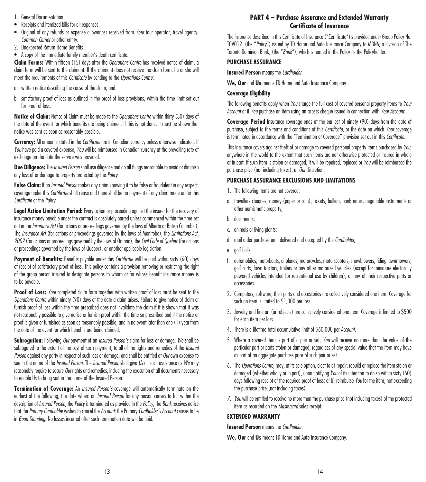- 1. General Documentation
- Receipts and itemized bills for all expenses.
- Original of any refunds or expense allowances received from *Your* tour operator, travel agency, *Common Carrier* or other entity.
- 2. Unexpected Return Home Benefits
- A copy of the immediate family member's death certificate.

**Claim Forms:** Within fifteen (15) days after the *Operations Centre* has received notice of claim, a claim form will be sent to the claimant. If the claimant does not receive the claim form, he or she will meet the requirements of this *Certificate* by sending to the *Operations Centre*:

- a. written notice describing the cause of the claim; and
- b. satisfactory proof of loss as outlined in the proof of loss provisions, within the time limit set out for proof of loss.

**Notice of Claim:** Notice of Claim must be made to the *Operations Centre* within thirty (30) days of the date of the event for which benefits are being claimed. If this is not done, it must be shown that notice was sent as soon as reasonably possible.

**Currency:** All amounts stated in the *Certificate* are in Canadian currency unless otherwise indicated. If *You* have paid a covered expense, *You* will be reimbursed in Canadian currency at the prevailing rate of exchange on the date the service was provided.

**Due Diligence:** The *Insured Person* shall use diligence and do all things reasonable to avoid or diminish any loss of or damage to property protected by the *Policy*.

**False Claim:** If an *Insured Person* makes any claim knowing it to be false or fraudulent in any respect, coverage under this *Certificate* shall cease and there shall be no payment of any claim made under this *Certificate* or the *Policy*.

**Legal Action Limitation Period:** Every action or proceeding against the insurer for the recovery of insurance money payable under the contract is absolutely barred unless commenced within the time set out in the *Insurance Act* (for actions or proceedings governed by the laws of Alberta or British Columbia), The *Insurance Act* (for actions or proceedings governed by the laws of Manitoba), the *Limitations Act, 2002* (for actions or proceedings governed by the laws of Ontario), the *Civil Code of Quebec* (for actions or proceedings governed by the laws of Quebec), or another applicable legislation.

**Payment of Benefits:** Benefits payable under this *Certificate* will be paid within sixty (60) days of receipt of satisfactory proof of loss. This policy contains a provision removing or restricting the right of the group person insured to designate persons to whom or for whose benefit insurance money is to be payable.

**Proof of Loss:** *Your* completed claim form together with written proof of loss must be sent to the *Operations Centre* within ninety (90) days of the date a claim arises. Failure to give notice of claim or furnish proof of loss within the time prescribed does not invalidate the claim if it is shown that it was not reasonably possible to give notice or furnish proof within the time so prescribed and if the notice or proof is given or furnished as soon as reasonably possible, and in no event later than one (1) year from the date of the event for which benefits are being claimed.

**Subrogation:** Following *Our* payment of an *Insured Person's* claim for loss or damage, *We* shall be subrogated to the extent of the cost of such payment, to all of the rights and remedies of the *Insured Person* against any party in respect of such loss or damage, and shall be entitled at *Our* own expense to sue in the name of the *Insured Person*. The *Insured Person* shall give *Us* all such assistance as *We* may reasonably require to secure *Our* rights and remedies, including the execution of all documents necessary to enable Us to bring suit in the name of the Insured Person.

**Termination of Coverage:** An *Insured Person's* coverage will automatically terminate on the earliest of the following, the date when: an *Insured Person* for any reason ceases to fall within the description of *Insured Person*; the *Policy* is terminated as provided in the *Policy*; the *Bank* receives notice that the Primary Cardholder wishes to cancel the Account; the Primary Cardholder's Account ceases to be in *Good Standing*. No losses incurred after such termination date will be paid.

# **PART 4 – Purchase Assurance and Extended Warranty Certificate of Insurance**

The insurance described in this Certificate of Insurance ("Certificate")is provided under Group Policy No. TGV012 (the "*Policy*") issued by TD Home and Auto Insurance Company to MBNA, a division of The Toronto-Dominion Bank, (the "*Bank*"), which is named in the Policy as the Policyholder.

## **PURCHASE ASSURANCE**

**Insured Person** means the *Cardholder*.

**We, Our** and **Us** means TD Home and Auto Insurance Company.

## **Coverage Eligibility**

The following benefits apply when *You* charge the full cost of covered personal property items to *Your Account* or if *You* purchase an item using an access cheque issued in connection with *Your Account*.

**Coverage Period** Insurance coverage ends at the earliest of ninety (90) days from the date of purchase, subject to the terms and conditions of this *Certificate*, or the date on which *Your* coverage is terminated in accordance with the "Termination of Coverage" provision set out in this *Certificate*.

This insurance covers against theft of or damage to covered personal property items purchased by *You*, anywhere in the world to the extent that such items are not otherwise protected or insured in whole or in part. If such item is stolen or damaged, it will be repaired, replaced or *You* will be reimbursed the purchase price (not including taxes), at *Our* discretion.

## **PURCHASE ASSURANCE EXCLUSIONS AND LIMITATIONS**

- 1. The following items are not covered:
- a. travellers cheques, money (paper or coin), tickets, bullion, bank notes, negotiable instruments or other numismatic property;
- b. documents;
- c. animals or living plants;
- d. mail order purchase until delivered and accepted by the *Cardholder*;
- e. golf balls;
- f. automobiles, motorboats, airplanes, motorcycles, motorscooters, snowblowers, riding lawnmowers, golf carts, lawn tractors, trailers or any other motorized vehicles (except for miniature electrically powered vehicles intended for recreational use by children), or any of their respective parts or accessories.
- 2. Computers, software, their parts and accessories are collectively considered one item. Coverage for such an item is limited to \$1,000 per loss.
- 3. Jewelry and fine art (art objects) are collectively considered one item. Coverage is limited to \$500 for each item per loss.
- 4. There is a lifetime total accumulative limit of \$60,000 per *Account*.
- 5. Where a covered item is part of a pair or set, *You* will receive no more than the value of the particular part or parts stolen or damaged, regardless of any special value that the item may have as part of an aggregate purchase price of such pair or set.
- 6. The *Operations Centre*, may, at its sole option, elect to a) repair, rebuild or replace the item stolen or damaged (whether wholly or in part), upon notifying *You* of its intention to do so within sixty (60) days following receipt of the required proof of loss; or b) reimburse *You* for the item, not exceeding the purchase price (not including taxes).
- *7. You* will be entitled to receive no more than the purchase price (not including taxes) of the protected item as recorded on the *Mastercard* sales receipt.

## **EXTENDED WARRANTY**

**Insured Person** means the *Cardholder*.

**We, Our** and **Us** means TD Home and Auto Insurance Company.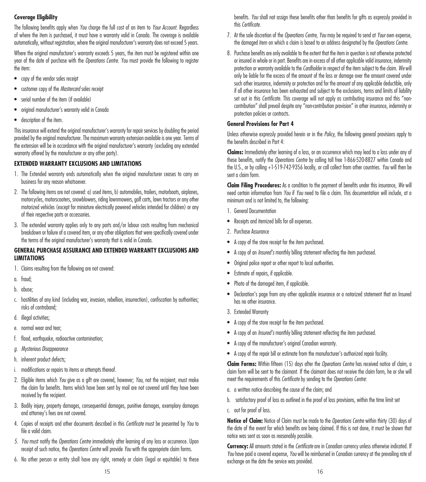## **Coverage Eligibility**

The following benefits apply when *You* charge the full cost of an item to *Your Account*. Regardless of where the item is purchased, it must have a warranty valid in Canada. The coverage is available automatically, without registration, where the original manufacturer's warranty does not exceed 5 years.

Where the original manufacturer's warranty exceeds 5 years, the item must be registered within one year of the date of purchase with the *Operations Centre*. *You* must provide the following to register the item:

- copy of the vendor sales receipt
- customer copy of the *Mastercard* sales receipt
- serial number of the item (if available)
- original manufacturer's warranty valid in Canada
- description of the item.

This insurance will extend the original manufacturer's warranty for repair services by doubling the period provided by the original manufacturer. The maximum warranty extension available is one year. Terms of the extension will be in accordance with the original manufacturer's warranty (excluding any extended warranty offered by the manufacturer or any other party).

# **EXTENDED WARRANTY EXCLUSIONS AND LIMITATIONS**

- 1. The Extended warranty ends automatically when the original manufacturer ceases to carry on business for any reason whatsoever.
- 2. The following items are not covered: a) used items, b) automobiles, trailers, motorboats, airplanes, motorcycles, motorscooters, snowblowers, riding lawnmowers, golf carts, lawn tractors or any other motorized vehicles (except for miniature electrically powered vehicles intended for children) or any of their respective parts or accessories.
- 3. The extended warranty applies only to any parts and/or labour costs resulting from mechanical breakdown or failure of a covered item, or any other obligations that were specifically covered under the terms of the original manufacturer's warranty that is valid in Canada.

## **GENERAL PURCHASE ASSURANCE AND EXTENDED WARRANTY EXCLUSIONS AND LIMITATIONS**

- 1. Claims resulting from the following are not covered:
- a. fraud;
- b. abuse;
- c. hostilities of any kind (including war, invasion, rebellion, insurrection), confiscation by authorities; risks of contraband;
- d. illegal activities;
- e. normal wear and tear;
- f. flood, earthquake, radioactive contamination;
- *g. Mysterious Disappearance*
- h. inherent product defects;
- i. modifications or repairs to items or attempts thereof.
- 2. Eligible items which *You* give as a gift are covered, however; *You*, not the recipient, must make the claim for benefits. Items which have been sent by mail are not covered until they have been received by the recipient.
- 3. Bodily injury, property damages, consequential damages, punitive damages, exemplary damages and attorney's fees are not covered.
- 4. Copies of receipts and other documents described in this *Certificate* must be presented by *You* to file a valid claim.
- *5. You* must notify the *Operations Centre* immediately after learning of any loss or occurrence. Upon receipt of such notice, the *Operations Centre* will provide *You* with the appropriate claim forms.
- 6. No other person or entity shall have any right, remedy or claim (legal or equitable) to these

benefits. *You* shall not assign these benefits other than benefits for gifts as expressly provided in this *Certificate*.

- 7. At the sole discretion of the *Operations Centre*, *You* may be required to send at *Your* own expense, the damaged item on which a claim is based to an address designated by the *Operations Centre*.
- 8. Purchase benefits are only available to the extent that the item in question is not otherwise protected or insured in whole or in part. Benefits are in excess of all other applicable valid insurance, indemnity protection or warranty available to the *Cardholder* in respect of the item subject to the claim. *We* will only be liable for the excess of the amount of the loss or damage over the amount covered under such other insurance, indemnity or protection and for the amount of any applicable deductible, only if all other insurance has been exhausted and subject to the exclusions, terms and limits of liability set out in this *Certificate*. This coverage will not apply as contributing insurance and this "noncontribution" shall prevail despite any "non-contribution provision" in other insurance, indemnity or protection policies or contracts.

## **General Provisions for Part 4**

Unless otherwise expressly provided herein or in the *Policy*, the following general provisions apply to the benefits described in Part 4:

**Claims:** Immediately after learning of a loss, or an occurrence which may lead to a loss under any of these benefits, notify the *Operations Centre* by calling toll free 1-866-520-8827 within Canada and the U.S., or by calling +1-519-742-9356 locally, or call collect from other countries. *You* will then be sent a claim form.

**Claim Filing Procedures:** As a condition to the payment of benefits under this insurance, *We* will need certain information from *You* if *You* need to file a claim. This documentation will include, at a minimum and is not limited to, the following:

- 1. General Documentation
- Receipts and itemized bills for all expenses.
- 2. Purchase Assurance
- A copy of the store receipt for the item purchased.
- A copy of an *Insured's* monthly billing statement reflecting the item purchased.
- Original police report or other report to local authorities.
- Estimate of repairs, if applicable.
- Photo of the damaged item, if applicable.
- Declaration's page from any other applicable insurance or a notarized statement that an Insured has no other insurance.
- 3. Extended Warranty
- A copy of the store receipt for the item purchased.
- A copy of an *Insured's* monthly billing statement reflecting the item purchased.
- A copy of the manufacturer's original Canadian warranty.
- A copy of the repair bill or estimate from the manufacturer's authorized repair facility.

**Claim Forms:** Within fifteen (15) days after the *Operations Centre* has received notice of claim, a claim form will be sent to the claimant. If the claimant does not receive the claim form, he or she will meet the requirements of this *Certificate* by sending to the *Operations Centre*:

- a. a written notice describing the cause of the claim; and
- b. satisfactory proof of loss as outlined in the proof of loss provisions, within the time limit set
- c. out for proof of loss.

**Notice of Claim:** Notice of Claim must be made to the *Operations Centre* within thirty (30) days of the date of the event for which benefits are being claimed. If this is not done, it must be shown that notice was sent as soon as reasonably possible.

**Currency:** All amounts stated in the *Certificate* are in Canadian currency unless otherwise indicated. If *You* have paid a covered expense, *You* will be reimbursed in Canadian currency at the prevailing rate of exchange on the date the service was provided.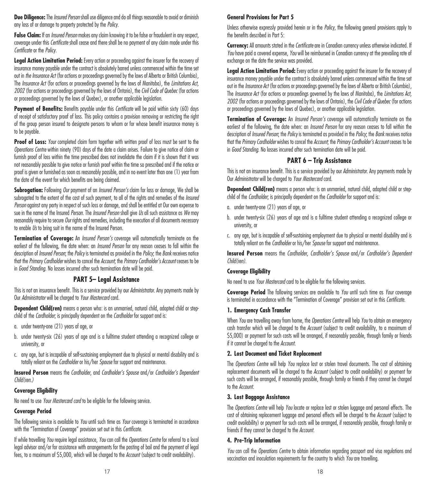**Due Diligence:** The *Insured Person* shall use diligence and do all things reasonable to avoid or diminish any loss of or damage to property protected by the *Policy*.

**False Claim:** If an *Insured Person* makes any claim knowing it to be false or fraudulent in any respect, coverage under this *Certificate* shall cease and there shall be no payment of any claim made under this *Certificate* or the *Policy*.

**Legal Action Limitation Period:** Every action or proceeding against the insurer for the recovery of insurance money payable under the contract is absolutely barred unless commenced within the time set out in *the Insurance Act* (for actions or proceedings governed by the laws of Alberta or British Columbia), The *Insurance Act* (for actions or proceedings governed by the laws of Manitoba), the *Limitations Act, 2002* (for actions or proceedings governed by the laws of Ontario), the *Civil Code of Quebec* (for actions or proceedings governed by the laws of Quebec), or another applicable legislation.

**Payment of Benefits:** Benefits payable under this *Certificate* will be paid within sixty (60) days of receipt of satisfactory proof of loss. This policy contains a provision removing or restricting the right of the group person insured to designate persons to whom or for whose benefit insurance money is to be payable.

**Proof of Loss:** *Your* completed claim form together with written proof of loss must be sent to the *Operations Centre* within ninety (90) days of the date a claim arises. Failure to give notice of claim or furnish proof of loss within the time prescribed does not invalidate the claim if it is shown that it was not reasonably possible to give notice or furnish proof within the time so prescribed and if the notice or proof is given or furnished as soon as reasonably possible, and in no event later than one (1) year from the date of the event for which benefits are being claimed.

**Subrogation:** Following *Our* payment of an *Insured Person's* claim for loss or damage, We shall be subrogated to the extent of the cost of such payment, to all of the rights and remedies of the *Insured Person* against any party in respect of such loss or damage, and shall be entitled at Our own expense to sue in the name of the Insured *Person*. The *Insured Person* shall give *Us* all such assistance as *We* may reasonably require to secure *Our* rights and remedies, including the execution of all documents necessary to enable *Us* to bring suit in the name of the Insured Person.

**Termination of Coverage:** An *Insured Person's* coverage will automatically terminate on the earliest of the following, the date when: an *Insured Person* for any reason ceases to fall within the description of *Insured Person*; the *Policy* is terminated as provided in the *Policy*; the *Bank* receives notice that the *Primary Cardholder* wishes to cancel the *Account*; the *Primary Cardholder's Account* ceases to be in *Good Standing*. No losses incurred after such termination date will be paid.

### **PART 5– Legal Assistance**

This is not an insurance benefit. This is a service provided by our *Administrator*. Any payments made by Our *Administrator* will be charged to *Your Mastercard* card.

**Dependent Child(ren)** means a person who: is an unmarried, natural child, adopted child or stepchild of the *Cardholder*; is principally dependent on the *Cardholder* for support and is:

- a. under twenty-one (21) years of age, or
- b. under twenty-six (26) years of age and is a fulltime student attending a recognized college or university, or
- c. any age, but is incapable of self-sustaining employment due to physical or mental disability and is totally reliant on the *Cardholder* or his/her *Spouse* for support and maintenance.

**Insured Person** means the *Cardholder*, and *Cardholder's Spouse* and/or *Cardholder's Dependent Child(ren.)*

### **Coverage Eligibility**

No need to use *Your Mastercard card* to be eligible for the following service.

### **Coverage Period**

The following service is available to *You* until such time as *Your* coverage is terminated in accordance with the "Termination of Coverage" provision set out in this *Certificate*.

If while travelling *You* require legal assistance, *You* can call the *Operations Centre* for referral to a local legal advisor and/or for assistance with arrangements for the posting of bail and the payment of legal fees, to a maximum of \$5,000, which will be charged to the *Account* (subject to credit availability).

### **General Provisions for Part 5**

Unless otherwise expressly provided herein or in the *Policy*, the following general provisions apply to the benefits described in Part 5:

**Currency:** All amounts stated in the *Certificate* are in Canadian currency unless otherwise indicated. If *You* have paid a covered expense, *You* will be reimbursed in Canadian currency at the prevailing rate of exchange on the date the service was provided.

**Legal Action Limitation Period:** Every action or proceeding against the insurer for the recovery of insurance money payable under the contract is absolutely barred unless commenced within the time set out in the *Insurance Act* (for actions or proceedings governed by the laws of Alberta or British Columbia), The *Insurance Act* (for actions or proceedings governed by the laws of Manitoba), the *Limitations Act, 2002* (for actions or proceedings governed by the laws of Ontario), the *Civil Code of Quebec* (for actions or proceedings governed by the laws of Quebec), or another applicable legislation.

**Termination of Coverage:** An *Insured Person's* coverage will automatically terminate on the earliest of the following, the date when: an *Insured Person* for any reason ceases to fall within the description of *Insured Person*; the *Policy* is terminated as provided in the *Policy*; the *Bank* receives notice that the Primary Cardholder wishes to cancel the Account; the Primary Cardholder's Account ceases to be in *Good Standing*. No losses incurred after such termination date will be paid.

## **PART 6 – Trip Assistance**

This is not an insurance benefit. This is a service provided by our *Administrator*. Any payments made by Our *Administrator* will be charged to *Your Mastercard* card.

**Dependent Child(ren)** means a person who: is an unmarried, natural child, adopted child or stepchild of the *Cardholder*; is principally dependent on the *Cardholder* for support and is:

- a. under twenty-one (21) years of age, or
- b. under twenty-six (26) years of age and is a fulltime student attending a recognized college or university, or
- c. any age, but is incapable of self-sustaining employment due to physical or mental disability and is totally reliant on the *Cardholder* or his/her *Spouse* for support and maintenance.

**Insured Person** means the *Cardholder*, *Cardholder's Spouse* and/or *Cardholder's Dependent Child(ren)*.

### **Coverage Eligibility**

No need to use *Your Mastercard* card to be eligible for the following services.

**Coverage Period** The following services are available to *You* until such time as *Your* coverage is terminated in accordance with the "Termination of Coverage" provision set out in this *Certificate*.

#### **1. Emergency Cash Transfer**

When *You* are travelling away from home, the *Operations Centre* will help *You* to obtain an emergency cash transfer which will be charged to the *Account* (subject to credit availability, to a maximum of \$5,000) or payment for such costs will be arranged, if reasonably possible, through family or friends if it cannot be charged to the *Account*.

### **2. Lost Document and Ticket Replacement**

The *Operations Centre* will help *You* replace lost or stolen travel documents. The cost of obtaining replacement documents will be charged to the *Account* (subject to credit availability) or payment for such costs will be arranged, if reasonably possible, through family or friends if they cannot be charged to the *Account*.

### **3. Lost Baggage Assistance**

The *Operations Centre* will help *You* locate or replace lost or stolen luggage and personal effects. The cost of obtaining replacement luggage and personal effects will be charged to the *Account* (subject to credit availability) or payment for such costs will be arranged, if reasonably possible, through family or friends if they cannot be charged to the *Account*.

### **4. Pre-Trip Information**

*You* can call the *Operations Centre* to obtain information regarding passport and visa regulations and vaccination and inoculation requirements for the country to which *You* are travelling.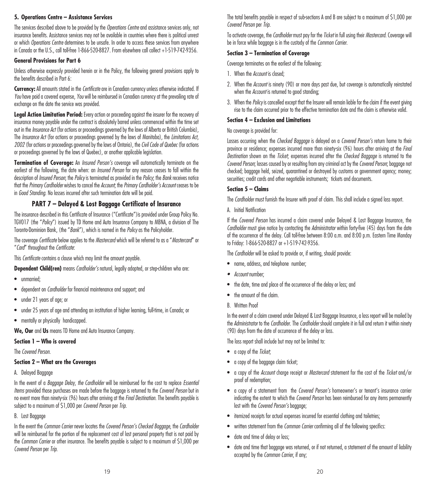## **5. Operations Centre – Assistance Services**

The services described above to be provided by the *Operations Centre* and assistance services only, not insurance benefits. Assistance services may not be available in countries where there is political unrest or which *Operations Centre* determines to be unsafe. In order to access these services from anywhere in Canada or the U.S., call toll-free 1-866-520-8827. From elsewhere call collect +1-519-742-9356.

### **General Provisions for Part 6**

Unless otherwise expressly provided herein or in the Policy, the following general provisions apply to the benefits described in Part 6:

**Currency:** All amounts stated in the *Certificate* are in Canadian currency unless otherwise indicated. If *You* have paid a covered expense, *You* will be reimbursed in Canadian currency at the prevailing rate of exchange on the date the service was provided.

**Legal Action Limitation Period:** Every action or proceeding against the insurer for the recovery of insurance money payable under the contract is absolutely barred unless commenced within the time set out in the *Insurance Act* (for actions or proceedings governed by the laws of Alberta or British Columbia), The *Insurance Act* (for actions or proceedings governed by the laws of Manitoba), the *Limitations Act, 2002* (for actions or proceedings governed by the laws of Ontario), the *Civil Code of Quebec* (for actions or proceedings governed by the laws of Quebec), or another applicable legislation.

**Termination of Coverage:** An *Insured Person's* coverage will automatically terminate on the earliest of the following, the date when: an *Insured Person* for any reason ceases to fall within the description of *Insured Person*; the *Policy* is terminated as provided in the *Policy*; the *Bank* receives notice that the *Primary Cardholder* wishes to cancel the *Account*; the *Primary Cardholder's Account* ceases to be in *Good Standing*. No losses incurred after such termination date will be paid.

## **PART 7 – Delayed & Lost Baggage Certificate of Insurance**

The insurance described in this Certificate of Insurance ("Certificate")is provided under Group Policy No. TGV017 (the "*Policy*") issued by TD Home and Auto Insurance Company to MBNA, a division of The Toronto-Dominion Bank, (the "*Bank*"), which is named in the *Policy* as the Policyholder.

The coverage *Certificate* below applies to the *Mastercard* which will be referred to as a "*Mastercard*" or "*Card*" throughout the *Certificate*:

This *Certificate* contains a clause which may limit the amount payable.

**Dependent Child(ren)** means *Cardholder's* natural, legally adopted, or step-children who are:

- unmarried;
- dependent on *Cardholder* for financial maintenance and support; and
- under 21 years of age; or
- under 25 years of age and attending an institution of higher learning, full-time, in Canada; or
- mentally or physically handicapped.

**We, Our** and **Us** means TD Home and Auto Insurance Company.

#### **Section 1 – Who is covered**

The *Covered Person*.

#### **Section 2 – What are the Coverages**

A. Delayed Baggage

In the event of a *Baggage Delay*, *the Cardholder* will be reimbursed for the cost to replace *Essential Items* provided those purchases are made before the baggage is returned to the *Covered Person* but in no event more than ninety-six (96) hours after arriving at the *Final Destination*. The benefits payable is subject to a maximum of \$1,000 per *Covered Person* per *Trip*.

### B. Lost Baggage

In the event the *Common Carrier* never locates the *Covered Person's Checked Baggage*, the *Cardholder* will be reimbursed for the portion of the replacement cost of lost personal property that is not paid by the *Common Carrier* or other insurance. The benefits payable is subject to a maximum of \$1,000 per *Covered Person* per *Trip*.

The total benefits payable in respect of sub-sections A and B are subject to a maximum of \$1,000 per *Covered Person* per *Trip*.

To activate coverage, the *Cardholder* must pay for the *Ticket* in full using their *Mastercard*. Coverage will be in force while baggage is in the custody of the *Common Carrier*.

### **Section 3 – Termination of Coverage**

Coverage terminates on the earliest of the following:

- 1. When the *Account* is closed;
- 2. When the *Account* is ninety (90) or more days past due, but coverage is automatically reinstated when the *Account* is returned to good standing:
- 3. When the *Policy* is cancelled except that the Insurer will remain liable for the claim if the event giving rise to the claim occurred prior to the effective termination date and the claim is otherwise valid.

## **Section 4 – Exclusion and Limitations**

No coverage is provided for:

Losses occurring when the *Checked Baggage* is delayed on a *Covered Person's* return home to their province or residence; expenses incurred more than ninety-six (96) hours after arriving at the *Final Destination* shown on the *Ticket*; expenses incurred after the *Checked Baggage* is returned to the *Covered Person*; losses caused by or resulting from any criminal act by the *Covered Person*; baggage not checked; baggage held, seized, quarantined or destroyed by customs or government agency; money; securities; credit cards and other negotiable instruments; tickets and documents.

### **Section 5 – Claims**

The *Cardholder* must furnish the Insurer with proof of claim. This shall include a signed loss report.

A. Initial Notification

If the *Covered Person* has incurred a claim covered under Delayed & Lost Baggage Insurance, the *Cardholder* must give notice by contacting the *Administrator* within forty-five (45) days from the date of the occurrence of the delay. Call toll-free between 8:00 a.m. and 8:00 p.m. Eastern Time Monday to Friday: 1-866-520-8827 or +1-519-742-9356.

The *Cardholder* will be asked to provide or, if writing, should provide:

- name, address, and telephone number;
- *• Account* number;
- the date, time and place of the occurrence of the delay or loss; and
- the amount of the claim.
- B. Written Proof

In the event of a claim covered under Delayed & Lost Baggage Insurance, a loss report will be mailed by the *Administrator* to the *Cardholder*. The *Cardholder* should complete it in full and return it within ninety (90) days from the date of occurrence of the delay or loss.

The loss report shall include but may not be limited to:

- a copy of the *Ticket*;
- a copy of the baggage claim ticket;
- a copy of the *Account* charge receipt or *Mastercard* statement for the cost of the *Ticket* and/or proof of redemption;
- a copy of a statement from the *Covered Person's* homeowner's or tenant's insurance carrier indicating the extent to which the *Covered Person* has been reimbursed for any items permanently lost with the *Covered Person's* baggage;
- itemized receipts for actual expenses incurred for essential clothing and toiletries;
- written statement from the *Common Carrier* confirming all of the following specifics:
- date and time of delay or loss;
- date and time that baggage was returned, or if not returned, a statement of the amount of liability accepted by the *Common Carrier*, if any;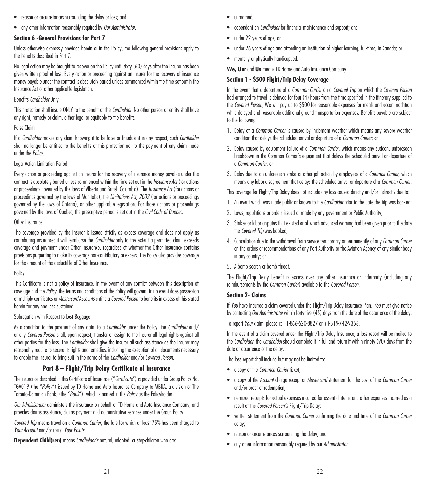- reason or circumstances surrounding the delay or loss; and
- any other information reasonably required by *Our Administrator*.

#### **Section 6 -General Provisions for Part 7**

Unless otherwise expressly provided herein or in the Policy, the following general provisions apply to the benefits described in Part 7:

No legal action may be brought to recover on the Policy until sixty (60) days after the Insurer has been given written proof of loss. Every action or proceeding against an insurer for the recovery of insurance money payable under the contract is absolutely barred unless commenced within the time set out in the Insurance Act or other applicable legislation.

### Benefits *Cardholder* Only

This protection shall insure ONLY to the benefit of the *Cardholder*. No other person or entity shall have any right, remedy or claim, either legal or equitable to the benefits.

#### False Claim

If a *Cardholder* makes any claim knowing it to be false or fraudulent in any respect, such *Cardholder* shall no longer be entitled to the benefits of this protection nor to the payment of any claim made under the *Policy*.

#### Legal Action Limitation Period

Every action or proceeding against an insurer for the recovery of insurance money payable under the contract is absolutely barred unless commenced within the time set out in the *Insurance Act* (for actions or proceedings governed by the laws of Alberta and British Columbia), The *Insurance Act* (for actions or proceedings governed by the laws of Manitoba), the *Limitations Act, 2002* (for actions or proceedings governed by the laws of Ontario), or other applicable legislation. For those actions or proceedings governed by the laws of Quebec, the prescriptive period is set out in the *Civil Code of Quebec.*

#### Other Insurance

The coverage provided by the Insurer is issued strictly as excess coverage and does not apply as contributing insurance; it will reimburse the *Cardholder* only to the extent a permitted claim exceeds coverage and payment under Other Insurance, regardless of whether the Other Insurance contains provisions purporting to make its coverage non-contributory or excess. The Policy also provides coverage for the amount of the deductible of Other Insurance.

#### Policy

This Certificate is not a policy of insurance. In the event of any conflict between this description of coverage and the *Policy*, the terms and conditions of the Policy will govern. In no event does possession of multiple certificates or *Mastercard Accounts* entitle a *Covered Person* to benefits in excess of this stated herein for any one loss sustained.

#### Subrogation with Respect to Lost Baggage

As a condition to the payment of any claim to a *Cardholder* under the Policy, the *Cardholder* and/ or any *Covered Person* shall, upon request, transfer or assign to the Insurer all legal rights against all other parties for the loss. The *Cardholder* shall give the Insurer all such assistance as the Insurer may reasonably require to secure its rights and remedies, including the execution of all documents necessary to enable the Insurer to bring suit in the name of the *Cardholder* and/or *Covered Person*.

## **Part 8 – Flight/Trip Delay Certificate of Insurance**

The insurance described in this Certificate of Insurance ("*Certificate*") is provided under Group Policy No. TGV019 (the "*Policy*") issued by TD Home and Auto Insurance Company to MBNA, a division of The Toronto-Dominion Bank, (the "*Bank*"), which is named in the *Policy* as the Policyholder.

*Our Administrator* administers the insurance on behalf of TD Home and Auto Insurance Company, and provides claims assistance, claims payment and administrative services under the Group Policy.

*Covered Trip* means travel on a *Common Carrier*, the fare for which at least 75% has been charged to *Your Account* and/or using *Your Points*.

**Dependent Child(ren)** means *Cardholder's* natural, adopted, or step-children who are:

- unmarried;
- dependent on *Cardholder* for financial maintenance and support; and
- under 22 years of age; or
- under 26 years of age and attending an institution of higher learning, full-time, in Canada; or
- mentally or physically handicapped.

**We, Our** and **Us** means TD Home and Auto Insurance Company.

### **Section 1 - \$500 Flight/Trip Delay Coverage**

In the event that a departure of a *Common Carrier* on a *Covered Trip* on which the *Covered Person* had arranged to travel is delayed for four (4) hours from the time specified in the itinerary supplied to the *Covered Person*, We will pay up to \$500 for reasonable expenses for meals and accommodation while delayed and reasonable additional ground transportation expenses. Benefits payable are subject to the following:

- 1. Delay of a *Common Carrier* is caused by inclement weather which means any severe weather condition that delays the scheduled arrival or departure of a *Common Carrier*; or
- 2. Delay caused by equipment failure of a *Common Carrier*, which means any sudden, unforeseen breakdown in the Common Carrier's equipment that delays the scheduled arrival or departure of a *Common Carrier*; or
- 3. Delay due to an unforeseen strike or other job action by employees of a *Common Carrier*, which means any labor disagreement that delays the scheduled arrival or departure of a *Common Carrier*.

This coverage for Flight/Trip Delay does not include any loss caused directly and/or indirectly due to:

- 1. An event which was made public or known to the *Cardholder* prior to the date the trip was booked;
- 2. Laws, regulations or orders issued or made by any government or Public Authority;
- 3. Strikes or labor disputes that existed or of which advanced warning had been given prior to the date the *Covered Trip* was booked;
- 4. Cancellation due to the withdrawal from service temporarily or permanently of any *Common Carrier* on the orders or recommendations of any Port Authority or the Aviation Agency of any similar body in any country; or
- 5. A bomb search or bomb threat.

The Flight/Trip Delay benefit is excess over any other insurance or indemnity (including any reimbursements by the *Common Carrier*) available to the *Covered Person*.

#### **Section 2- Claims**

If *You* have incurred a claim covered under the Flight/Trip Delay Insurance Plan, *You* must give notice by contacting *Our Administrator* within forty-five (45) days from the date of the occurrence of the delay.

To report *Your* claim, please call 1-866-520-8827 or +1-519-742-9356.

In the event of a claim covered under the Flight/Trip Delay Insurance, a loss report will be mailed to the *Cardholder*. the *Cardholder* should complete it in full and return it within ninety (90) days from the date of occurrence of the delay.

The loss report shall include but may not be limited to:

- a copy of the *Common Carrier* ticket;
- a copy of the *Account* charge receipt or *Mastercard* statement for the cost of the *Common Carrier* and/or proof of redemption;
- itemized receipts for actual expenses incurred for essential items and other expenses incurred as a result of the *Covered Person's* Flight/Trip Delay;
- written statement from the *Common Carrier* confirming the date and time of the *Common Carrier* delay;
- reason or circumstances surrounding the delay; and
- any other information reasonably required by our *Administrator*.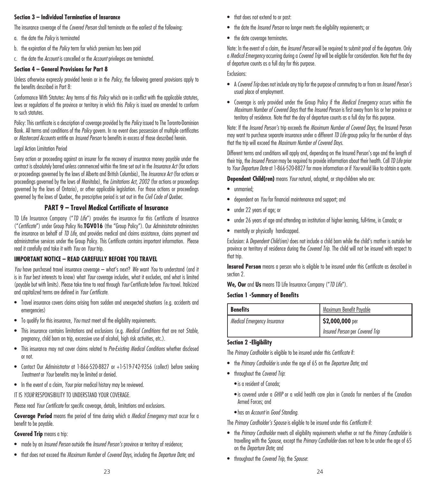### **Section 3 – Individual Termination of Insurance**

The insurance coverage of the *Covered Person* shall terminate on the earliest of the following:

- a. the date the *Policy* is terminated
- b. the expiration of the *Policy* term for which premium has been paid
- c. the date the *Account* is cancelled or the *Account* privileges are terminated.

## **Section 4 – General Provisions for Part 8**

Unless otherwise expressly provided herein or in the *Policy*, the following general provisions apply to the benefits described in Part 8:

Conformance With Statutes: Any terms of this *Policy* which are in conflict with the applicable statutes, laws or regulations of the province or territory in which this *Policy* is issued are amended to conform to such statutes.

Policy: This certificate is a description of coverage provided by the *Policy* issued to The Toronto-Dominion Bank. All terms and conditions of the *Policy* govern. In no event does possession of multiple certificates or *Mastercard Accounts* entitle an *Insured Person* to benefits in excess of those described herein.

### Legal Action Limitation Period

Every action or proceeding against an insurer for the recovery of insurance money payable under the contract is absolutely barred unless commenced within the time set out in the *Insurance Act* (for actions or proceedings governed by the laws of Alberta and British Columbia), The *Insurance Act* (for actions or proceedings governed by the laws of Manitoba), the *Limitations Act, 2002* (for actions or proceedings governed by the laws of Ontario), or other applicable legislation. For those actions or proceedings governed by the laws of Quebec, the prescriptive period is set out in the *Civil Code of Quebec*.

# **PART 9 – Travel Medical Certificate of Insurance**

TD Life Insurance Company ("*TD Life*") provides the insurance for this Certificate of Insurance ("*Certificate*") under Group Policy No.**TGV016** (the "Group Policy"). Our *Administrator* administers the insurance on behalf of *TD Life,* and provides medical and claims assistance, claims payment and administrative services under the Group Policy. This Certificate contains important information. Please read it carefully and take it with *You* on *Your* trip.

## **IMPORTANT NOTICE – READ CAREFULLY BEFORE YOU TRAVEL**

*You* have purchased travel insurance coverage – what's next? *We* want *You* to understand (and it is in *Your* best interests to know) what *Your* coverage includes, what it excludes, and what is limited (payable but with limits). Please take time to read through *Your* Certificate before *You* travel. Italicized and capitalized terms are defined in *Your Certificate*.

- Travel insurance covers claims arising from sudden and unexpected situations (e.g. accidents and emergencies)
- To qualify for this insurance, *You* must meet all the eligibility requirements.
- This insurance contains limitations and exclusions (e.g. *Medical Conditions* that are not *Stable*, pregnancy, child born on trip, excessive use of alcohol, high risk activities, etc.).
- This insurance may not cover claims related to *Pre-Existing Medical Conditions* whether disclosed or not.
- Contact Our *Administrator* at 1-866-520-8827 or +1-519-742-9356 (collect) before seeking *Treatment* or *Your* benefits may be limited or denied.
- In the event of a claim, *Your* prior medical history may be reviewed.

IT IS *YOUR* RESPONSIBILITY TO UNDERSTAND YOUR COVERAGE.

Please read *Your Certificate* for specific coverage, details, limitations and exclusions.

**Coverage Period** means the period of time during which a *Medical Emergency* must occur for a benefit to be payable.

**Covered Trip** means a trip:

- made by an *Insured Person* outside the *Insured Person's* province or territory of residence;
- that does not exceed the *Maximum Number* of *Covered Days*, including the *Departure Date*; and
- the date the *Insured Person* no longer meets the eligibility requirements; or
- the date coverage terminates.

Note: In the event of a claim, the *Insured Person* will be required to submit proof of the departure. Only a *Medical Emergency* occurring during a *Covered Trip* will be eligible for consideration. Note that the day of departure counts as a full day for this purpose.

Exclusions:

- A *Covered Trip* does not include any trip for the purpose of commuting to or from an *Insured Person's* usual place of employment.
- Coverage is only provided under the Group Policy if the *Medical Emergency* occurs within the *Maximum Number of Covered Days* that the *Insured Person* is first away from his or her province or territory of residence. Note that the day of departure counts as a full day for this purpose.

Note: If the *Insured Person's* trip exceeds the *Maximum Number of Covered Days*, the Insured Person may want to purchase separate insurance under a different *TD Life* group policy for the number of days that the trip will exceed the *Maximum Number of Covered Days*.

Different terms and conditions will apply and, depending on the Insured Person's age and the length of their trip, the *Insured Person* may be required to provide information about their health. Call *TD Life* prior to *Your Departure Date* at 1-866-520-8827 for more information or if *You* would like to obtain a quote.

**Dependent Child(ren)** means *Your* natural, adopted, or step-children who are:

- unmarried;
- dependent on *You* for financial maintenance and support; and
- under 22 years of age; or
- under 26 years of age and attending an institution of higher learning, full-time, in Canada; or
- mentally or physically handicapped.

Exclusion: A *Dependent Child(ren)* does not include a child born while the child's mother is outside her province or territory of residence during the *Covered Trip*. The child will not be insured with respect to that trip.

**Insured Person** means a person who is eligible to be insured under this Certificate as described in section 2.

**We, Our** and **Us** means TD Life Insurance Company ("*TD Life*").

### **Section 1 -Summary of Benefits**

| Benefits                           | Maximum Benefit Payable         |  |
|------------------------------------|---------------------------------|--|
| <b>Medical Emergency Insurance</b> | \$2,000,000 per                 |  |
|                                    | Insured Person per Covered Trip |  |

## **Section 2 -Eligibility**

The *Primary Cardholder* is eligible to be insured under this *Certificate* if:

- the *Primary Cardholder* is under the age of 65 on the *Departure Date*; and
- throughout the *Covered Trip*:
	- is a resident of Canada;
	- is covered under a *GHIP* or a valid health care plan in Canada for members of the Canadian Armed Forces; and
	- has an *Account* in *Good Standing*.

The *Primary Cardholder's Spouse* is eligible to be insured under this *Certificate* if:

- the *Primary Cardholder* meets all eligibility requirements whether or not the *Primary Cardholder* is travelling with the *Spouse*, except the *Primary Cardholder* does not have to be under the age of 65 on the *Departure Date*; and
- throughout the *Covered Trip*, the *Spouse*: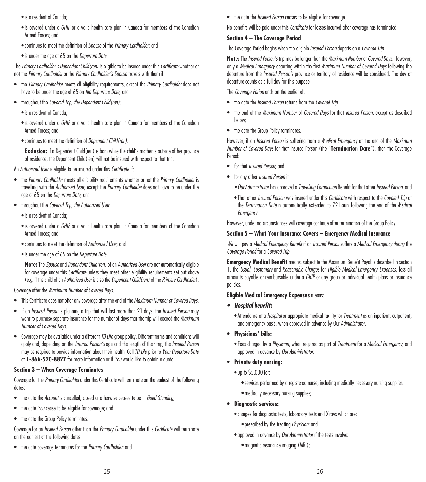- is a resident of Canada;
- is covered under a *GHIP* or a valid health care plan in Canada for members of the Canadian Armed Forces; and
- continues to meet the definition of *Spouse* of the *Primary Cardholder*; and
- is under the age of 65 on the *Departure Date*.

The *Primary Cardholder's Dependent Child(ren)* is eligible to be insured under this *Certificate* whether or not the *Primary Cardholder* or the *Primary Cardholder's Spouse* travels with them if:

- the *Primary Cardholder* meets all eligibility requirements, except the *Primary Cardholder* does not have to be under the age of 65 on *the Departure Date*; and
- throughout the *Covered Trip, the Dependent Child(ren):*
	- is a resident of Canada;
	- is covered under a *GHIP* or a valid health care plan in Canada for members of the Canadian Armed Forces; and
	- continues to meet the definition of *Dependent Child(ren).*

**Exclusion:** If a Dependent Child(ren) is born while the child's mother is outside of her province of residence, the Dependent Child(ren) will not be insured with respect to that trip.

An *Authorized User* is eligible to be insured under this *Certificate* if:

- the *Primary Cardholder* meets all eligibility requirements whether or not the *Primary Cardholder* is travelling with the *Authorized User*, except the *Primary Cardholder* does not have to be under the age of 65 on the *Departure Date*; and
- throughout the *Covered Trip*, *the Authorized User*:
	- is a resident of Canada;
	- is covered under a *GHIP* or a valid health care plan in Canada for members of the Canadian Armed Forces; and
	- continues to meet the definition of *Authorized User*; and
	- is under the age of 65 on the *Departure Date*.

**Note:** The *Spouse* and *Dependent Child(ren)* of an *Authorized User* are not automatically eligible for coverage under this *Certificate* unless they meet other eligibility requirements set out above (e.g. if the child of an *Authorized User* is also the *Dependent Child(ren)* of the *Primary Cardholder*).

Coverage after the *Maximum Number of Covered Days:*

- This Certificate does not offer any coverage after the end of the *Maximum Number of Covered Days*.
- If an *Insured Person* is planning a trip that will last more than 21 days, the *Insured Person* may want to purchase separate insurance for the number of days that the trip will exceed the *Maximum Number of Covered Days.*
- Coverage may be available under a different *TD Life* group policy. Different terms and conditions will apply and, depending on the *Insured Person's* age and the length of their trip, the *Insured Person*  may be required to provide information about their health. Call *TD Life* prior to *Your Departure Date*  at **1-866-520-8827** for more information or if *You* would like to obtain a quote.

## **Section 3 – When Coverage Terminates**

Coverage for the *Primary Cardholder* under this Certificate will terminate on the earliest of the following dates:

- the date the *Account* is cancelled, closed or otherwise ceases to be in *Good Standing*;
- the date *You* cease to be eligible for coverage; and
- the date the Group Policy terminates.

Coverage for an *Insured Person* other than the *Primary Cardholder* under this *Certificate* will terminate on the earliest of the following dates:

• the date coverage terminates for the *Primary Cardholder*; and

• the date the *Insured Person* ceases to be eligible for coverage.

No benefits will be paid under this *Certificate* for losses incurred after coverage has terminated.

## **Section 4 – The Coverage Period**

The Coverage Period begins when the eligible *Insured Person* departs on a *Covered Trip*.

**Note:** The *Insured Person's* trip may be longer than the *Maximum Number* of *Covered Days.* However, only a *Medical Emergency* occurring within the first *Maximum Number of Covered Days* following the departure from the *Insured Person's* province or territory of residence will be considered. The day of departure counts as a full day for this purpose.

The *Coverage Period* ends on the earlier of:

- the date the *Insured Person* returns from the *Covered Trip*;
- the end of the *Maximum Number* of *Covered Days* for that *Insured Person*, except as described below;
- the date the Group Policy terminates.

However, if an *Insured Person* is suffering from a *Medical Emergency* at the end of the *Maximum Number of Covered Days* for that Insured Person (the "**Termination Date**"), then the Coverage Period:

- for that *Insured Person*; and
- for any other *Insured Person* if
	- *• Our Administrator* has approved a *Travelling Companion* Benefit for that other *Insured Person*; and
	- That other *Insured Person* was insured under this *Certificate* with respect to the *Covered Trip* at the *Termination Date* is automatically extended to 72 hours following the end of the *Medical Emergency.*

However, under no circumstances will coverage continue after termination of the Group Policy.

### **Section 5 – What Your Insurance Covers – Emergency Medical Insurance**

*We* will pay a *Medical Emergency Benefit* if an *Insured Person* suffers a *Medical Emergency during* the *Coverage Period* for a *Covered Trip*.

**Emergency Medical Benefit** means, subject to the Maximum Benefit Payable described in section 1, the *Usual*, *Customary* and *Reasonable Charges* for *Eligible Medical Emergency Expenses*, less all amounts payable or reimbursable under a *GHIP* or any group or individual health plans or insurance policies.

### **Eligible Medical Emergency Expenses** means:

- *• Hospital benefit:*
	- Attendance at a *Hospital* or appropriate medical facility for *Treatment* as an inpatient, outpatient, and emergency basis, when approved in advance by Our *Administrator*.
- **• Physicians' bills:**
	- Fees charged by a *Physician*, when required as part of *Treatment* for a *Medical Emergency*, and approved in advance by *Our Administrator*.
- **• Private duty nursing:**
	- up to \$5,000 for:
		- services performed by a registered nurse; including medically necessary nursing supplies;
		- medically necessary nursing supplies;
- **• Diagnostic services:**
	- charges for diagnostic tests, laboratory tests and X-rays which are:
		- prescribed by the treating *Physician*; and
	- approved in advance by *Our Administrator* if the tests involve:
		- magnetic resonance imaging (MRI);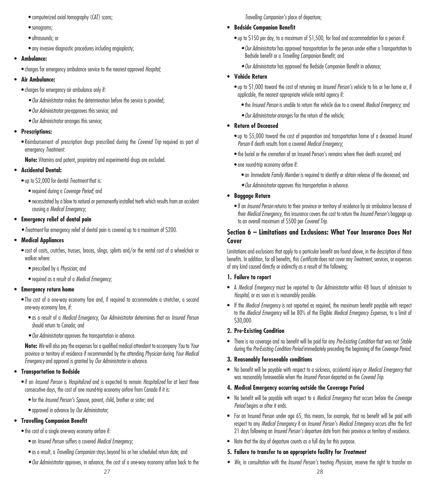- computerized axial tomography (CAT) scans;
- sonograms;
- ultrasounds; or
- any invasive diagnostic procedures including angioplasty;

### **• Ambulance:**

• charges for emergency ambulance service to the nearest approved *Hospital*;

## **• Air Ambulance:**

- charges for emergency air ambulance only if:
	- *• Our Administrator* makes the determination before the service is provided;
	- *• Our Administrator* pre-approves this service; and
	- *• Our Administrator* arranges this service;

## **• Prescriptions:**

- Reimbursement of prescription drugs prescribed during the *Covered Trip* required as part of emergency *Treatment*.
- **Note:** Vitamins and patent, proprietary and experimental drugs are excluded.

## **• Accidental Dental:**

- up to \$2,000 for dental *Treatment* that is:
	- required during a *Coverage Period*; and
	- necessitated by a blow to natural or permanently installed teeth which results from an accident causing a *Medical Emergency*;

## **• Emergency relief of dental pain**

*• Treatment* for emergency relief of dental pain is covered up to a maximum of \$200.

# **• Medical Appliances**

- cost of casts, crutches, trusses, braces, slings, splints and/or the rental cost of a wheelchair or walker where:
	- prescribed by a *Physician*; and
	- required as a result of a *Medical Emergency*;

## **• Emergency return home**

- The cost of a one-way economy fare and, if required to accommodate a stretcher, a second one-way economy fare, if:
	- as a result of a *Medical Emergency*, Our *Administrator* determines that an *Insured Person*  should return to Canada; and
	- *• Our Administrator* approves the transportation in advance.

**Note:** *We* will also pay the expenses for a qualified medical attendant to accompany *You* to *Your* province or territory of residence if recommended by the attending *Physician* during *Your Medical Emergency* and approval is granted by *Our Administrator* in advance.

## **• Transportation to Bedside**

- if an *Insured Person* is *Hospitalized* and is expected to remain *Hospitalized* for at least three consecutive days, the cost of one round-trip economy airfare from Canada if it is:
	- for the *Insured Person's Spouse*, parent, child, brother or sister; and
	- approved in advance by *Our Administrator*;

# **• Travelling Companion Benefit**

- the cost of a single one-way economy airfare if:
	- an *Insured Person* suffers a covered *Medical Emergency*;
	- as a result, a *Travelling Companion* stays beyond his or her scheduled return date; and
	- *• Our Administrator* approves, in advance, the cost of a one-way economy airfare back to the

*Travelling Companion's* place of departure;

## **• Bedside Companion Benefit**

- up to \$150 per day, to a maximum of \$1,500, for food and accommodation for a person if:
	- *• Our Administrator* has approved transportation for the person under either a Transportation to Bedside benefit or a *Travelling Companion* Benefit; and
	- *• Our Administrator* has approved the Bedside Companion Benefit in advance;

## **• Vehicle Return**

- up to \$1,000 toward the cost of returning an *Insured Person's* vehicle to his or her home or, if applicable, the nearest appropriate vehicle rental agency if:
	- the *Insured Person* is unable to return the vehicle due to a covered *Medical Emergency*; and
	- *• Our Administrator* arranges for the return of the vehicle;

## **• Return of Deceased**

- up to \$5,000 toward the cost of preparation and transportation home of a deceased *Insured Person* if death results from a covered *Medical Emergency*;
- the burial or the cremation of an Insured Person's remains where their death occurred; and
- one round-trip economy airfare if:
	- an *Immediate Family Member* is required to identify or obtain release of the deceased; and
	- *• Our Administrator* approves this transportation in advance.
- **• Baggage Return**
	- If an *Insured Person* returns to their province or territory of residence by air ambulance because of their *Medical Emergency*, this insurance covers the cost to return the *Insured Person's* baggage up to an overall maximum of \$500 per *Covered Trip*.

## **Section 6 – Limitations and Exclusions: What Your Insurance Does Not Cover**

Limitations and exclusions that apply to a particular benefit are found above, in the description of those benefits. In addition, for all benefits, this *Certificate* does not cover any *Treatment*, services, or expenses of any kind caused directly or indirectly as a result of the following:

## **1. Failure to report**

- A *Medical Emergency* must be reported to *Our Administrator* within 48 hours of admission to *Hospital*, or as soon as is reasonably possible.
- If the *Medical Emergency* is not reported as required, the maximum benefit payable with respect to the *Medical Emergency* will be 80% of the Eligible *Medical Emergency Expenses*, to a limit of \$30,000.

## **2. Pre-Existing Condition**

• There is no coverage and no benefit will be paid for any *Pre-Existing Condition* that was not *Stable* during the Pre-Existing Condition Period immediately preceding the beginning of the Coverage Period.

## **3. Reasonably foreseeable conditions**

• No benefit will be payable with respect to a sickness, accidental injury or *Medical Emergency* that was reasonably foreseeable when the *Insured Person* departed on the *Covered Trip*.

### **4. Medical Emergency occurring outside the Coverage Period**

- No benefit will be payable with respect to a *Medical Emergency* that occurs before the *Coverage Period* begins or after it ends.
- For an Insured Person under age 65, this means, for example, that no benefit will be paid with respect to any *Medical Emergency* if an *Insured Person's Medical Emergency* occurs after the first 21 days following an *Insured Person's* departure date from their province or territory of residence.
- Note that the day of departure counts as a full day for this purpose.

## **5. Failure to transfer to an appropriate facility for** *Treatment*

*• We*, in consultation with the *Insured Person's* treating *Physician*, reserve the right to transfer an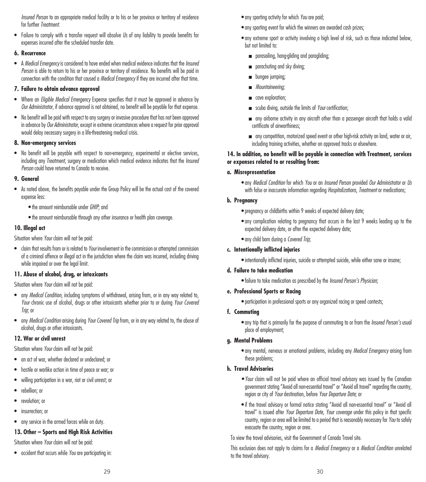*Insured Person* to an appropriate medical facility or to his or her province or territory of residence for further *Treatment*.

• Failure to comply with a transfer request will absolve *Us* of any liability to provide benefits for expenses incurred after the scheduled transfer date.

# **6. Recurrence**

• A *Medical Emergency* is considered to have ended when medical evidence indicates that the *Insured Person* is able to return to his or her province or territory of residence. No benefits will be paid in connection with the condition that caused a *Medical Emergency* if they are incurred after that time.

# **7. Failure to obtain advance approval**

- Where an *Eligible Medical Emergency* Expense specifies that it must be approved in advance by *Our Administrator*, if advance approval is not obtained, no benefit will be payable for that expense.
- No benefit will be paid with respect to any surgery or invasive procedure that has not been approved in advance by *Our Administrator*, except in extreme circumstances where a request for prior approval would delay necessary surgery in a life-threatening medical crisis.

# **8. Non-emergency services**

• No benefit will be payable with respect to non-emergency, experimental or elective services, including any *Treatment*, surgery or medication which medical evidence indicates that the *Insured Person* could have returned to Canada to receive.

## **9. General**

- As noted above, the benefits payable under the Group Policy will be the actual cost of the covered expense less:
	- the amount reimbursable under *GHIP*; and
	- the amount reimbursable through any other insurance or health plan coverage.

## **10. Illegal act**

Situation where *Your* claim will not be paid:

• claim that results from or is related to *Your* involvement in the commission or attempted commission of a criminal offence or illegal act in the jurisdiction where the claim was incurred, including driving while impaired or over the legal limit.

## **11. Abuse of alcohol, drug, or intoxicants**

Situation where *Your* claim will not be paid:

- any *Medical Condition*, including symptoms of withdrawal, arising from, or in any way related to, *Your* chronic use of alcohol, drugs or other intoxicants whether prior to or during *Your Covered Trip*; or
- any *Medical Condition* arising during *Your Covered Trip* from, or in any way related to, the abuse of alcohol, drugs or other intoxicants.

# **12. War or civil unrest**

Situation where *Your* claim will not be paid:

- an act of war, whether declared or undeclared; or
- hostile or warlike action in time of peace or war; or
- willing participation in a war, riot or civil unrest; or
- rebellion; or
- revolution: or
- insurrection: or
- any service in the armed forces while on duty.

# **13. Other – Sports and High Risk Activities**

Situation where *Your* claim will not be paid:

• accident that occurs while *You* are participating in:

- any sporting event for which the winners are awarded cash prizes;
- any extreme sport or activity involving a high level of risk, such as those indicated below, but not limited to:
	- parasailing, hang-gliding and paragliding;
	- parachuting and sky diving:
	- **■** bungee jumping;
	- *Mountaineering;*
	- cave exploration;
	- scuba diving, outside the limits of *Your* certification;
	- any airborne activity in any aircraft other than a passenger aircraft that holds a valid certificate of airworthiness;
	- any competition, motorized speed event or other high-risk activity on land, water or air, including training activities, whether on approved tracks or elsewhere.

## **14. In addition, no benefit will be payable in connection with Treatment, services or expenses related to or resulting from:**

# **a. Misrepresentation**

• any *Medical Condition* for which *You* or an *Insured Person* provided *Our Administrator* or *Us* with false or inaccurate information regarding *Hospitalizations*, *Treatment* or medications;

# **b. Pregnancy**

- pregnancy or childbirths within 9 weeks of expected delivery date;
- any complication relating to pregnancy that occurs in the last 9 weeks leading up to the expected delivery date, or after the expected delivery date;
- any child born during a *Covered Trip*;

# **c. Intentionally inflicted injuries**

• intentionally inflicted injuries, suicide or attempted suicide, while either sane or insane;

## **d. Failure to take medication**

• failure to take medication as prescribed by the *Insured Person's Physician*;

## **e. Professional Sports or Racing**

• participation in professional sports or any organized racing or speed contests;

## **f. Commuting**

• any trip that is primarily for the purpose of commuting to or from the *Insured Person's* usual place of employment;

## **g. Mental Problems**

• any mental, nervous or emotional problems, including any *Medical Emergency* arising from these problems;

# **h. Travel Advisories**

- *• Your* claim will not be paid where an official travel advisory was issued by the Canadian government stating "Avoid all non-essential travel" or "Avoid all travel" regarding the country, region or city of *Your* destination, before *Your Departure Date*; or
- if the travel advisory or formal notice stating "Avoid all non-essential travel" or "Avoid all travel" is issued after *Your Departure Date*, *Your coverage* under this policy in that specific country, region or area will be limited to a period that is reasonably necessary for *You* to safely evacuate the country, region or area.

To view the travel advisories, visit the Government of Canada Travel site.

This exclusion does not apply to claims for a *Medical Emergency* or a *Medical Condition* unrelated to the travel advisory.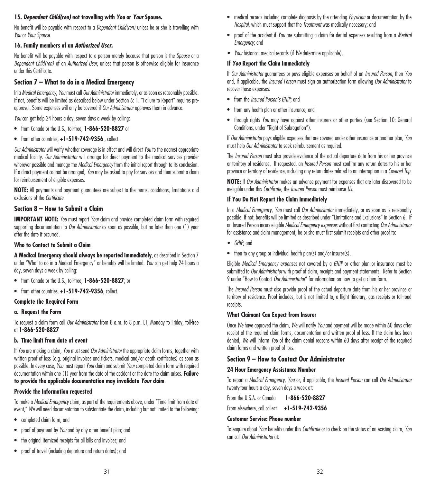## **15.** *Dependent Child(ren)* **not travelling with** *You* **or** *Your* **Spouse.**

No benefit will be payable with respect to a *Dependent Child(ren)* unless he or she is travelling with *You* or *Your Spouse*.

## **16. Family members of an** *Authorized User.*

No benefit will be payable with respect to a person merely because that person is the *Spouse* or a *Dependent Child(ren)* of an *Authorized User*, unless that person is otherwise eligible for insurance under this Certificate.

## **Section 7 – What to do in a Medical Emergency**

In a *Medical Emergency*, *You* must call *Our Administrator* immediately, or as soon as reasonably possible. If not, benefits will be limited as described below under Section 6: 1. "Failure to Report" requires preapproval. Some expenses will only be covered if *Our Administrator* approves them in advance.

*You* can get help 24 hours a day, seven days a week by calling:

- from Canada or the U.S., toll-free, **1-866-520-8827** or
- from other countries, **+1-519-742-9356** , collect.

*Our Administrator* will verify whether coverage is in effect and will direct *You* to the nearest appropriate medical facility. *Our Administrator* will arrange for direct payment to the medical services provider wherever possible and manage the *Medical Emergency* from the initial report through to its conclusion. If a direct payment cannot be arranged, *You* may be asked to pay for services and then submit a claim for reimbursement of eligible expenses.

**NOTE:** All payments and payment guarantees are subject to the terms, conditions, limitations and exclusions of the *Certificate*.

# **Section 8 – How to Submit a Claim**

**IMPORTANT NOTE:** *You* must report *Your* claim and provide completed claim form with required supporting documentation to *Our Administrator* as soon as possible, but no later than one (1) year after the date it occurred.

#### **Who to Contact to Submit a Claim**

**A Medical Emergency should always be reported immediately**, as described in Section 7 under "What to do in a Medical Emergency" or benefits will be limited. *You* can get help 24 hours a day, seven days a week by calling:

- from Canada or the U.S., toll-free, **1-866-520-8827**; or
- from other countries, **+1-519-742-9356**, collect.

### **Complete the Required Form**

**a. Request the Form**

To request a claim form call *Our Administrator* from 8 a.m. to 8 p.m. ET, Monday to Friday, toll-free at **1-866-520-8827**

## **b. Time limit from date of event**

If *You* are making a claim, *You* must send *Our Administrator* the appropriate claim forms, together with written proof of loss (e.g. original invoices and tickets, medical and/or death certificates) as soon as possible. In every case, *You* must report *Your* claim and submit *Your* completed claim form with required documentation within one (1) year from the date of the accident or the date the claim arises. **Failure to provide the applicable documentation may invalidate** *Your* **claim**.

### **Provide the Information requested**

To make a *Medical Emergency* claim, as part of the requirements above, under "Time limit from date of event," *We* will need documentation to substantiate the claim, including but not limited to the following:

- completed claim form; and
- proof of payment by *You* and by any other benefit plan; and
- the original itemized receipts for all bills and invoices; and
- proof of travel (including departure and return dates); and
- medical records including complete diagnosis by the attending *Physician* or documentation by the *Hospital*, which must support that the *Treatment* was medically necessary; and
- proof of the accident if *You* are submitting a claim for dental expenses resulting from a *Medical Emergency*; and
- *• Your* historical medical records (if *We* determine applicable).

### **If** *You* **Report the Claim Immediately**

If *Our Administrator* guarantees or pays eligible expenses on behalf of an *Insured Person*, then *You* and, if applicable, the *Insured Person* must sign an authorization form allowing *Our Administrator* to recover those expenses:

- from the *Insured Person's GHIP*; and
- from any health plan or other insurance; and
- through rights *You* may have against other insurers or other parties (see Section 10: General Conditions, under "Right of Subrogation").

If *Our Administrator* pays eligible expenses that are covered under other insurance or another plan, *You* must help *Our Administrator* to seek reimbursement as required.

The *Insured Person* must also provide evidence of the actual departure date from his or her province or territory of residence. If requested, an *Insured Person* must confirm any return dates to his or her province or territory of residence, including any return dates related to an interruption in a *Covered Trip*.

**NOTE:** If *Our Administrator* makes an advance payment for expenses that are later discovered to be ineligible under this *Certificate*, the *Insured Person* must reimburse *Us*.

#### **If You Do Not Report the Claim Immediately**

In a *Medical Emergency*, *You* must call *Our Administrator* immediately, or as soon as is reasonably possible. If not, benefits will be limited as described under "Limitations and Exclusions" in Section 6. If an Insured Person incurs eligible *Medical Emergency expenses* without first contacting *Our Administrator*  for assistance and claim management, he or she must first submit receipts and other proof to:

- *• GHIP*; and
- then to any group or individual health plan(s) and/or insurer(s).

Eligible *Medical Emergency expenses* not covered by a *GHIP* or other plan or insurance must be submitted to *Our Administrator* with proof of claim, receipts and payment statements. Refer to Section 9 under "How to Contact *Our Administrator*" for information on how to get a claim form.

The *Insured Person* must also provide proof of the actual departure date from his or her province or territory of residence. Proof includes, but is not limited to, a flight itinerary, gas receipts or toll-road receipts.

#### **What Claimant Can Expect from Insurer**

Once *We* have approved the claim, *We* will notify *You* and payment will be made within 60 days after receipt of the required claim forms, documentation and written proof of loss. If the claim has been denied, *We* will inform *You* of the claim denial reasons within 60 days after receipt of the required claim forms and written proof of loss.

### **Section 9 – How to Contact Our Administrator**

### **24 Hour Emergency Assistance Number**

To report a *Medical Emergency*, *You* or, if applicable, the *Insured Person* can call *Our Administrator*  twenty-four hours a day, seven days a week at:

From the U.S.A. or Canada **1-866-520-8827**

From elsewhere, call collect **+1-519-742-9356**

## **Customer Service: Phone number**

To enquire about *Your* benefits under this *Certificate* or to check on the status of an existing claim, *You* can call *Our Administrator* at: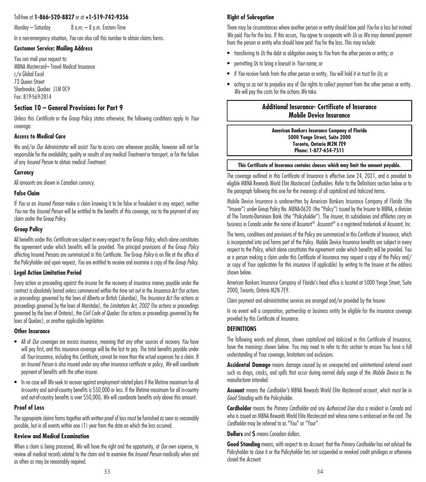# Toll-free at **1-866-520-8827** or at **+1-519-742-9356**

Monday – Saturday 8 a.m. – 8 p.m. Eastern Time

In a non-emergency situation, *You* can also call this number to obtain claims forms.

#### **Customer Service: Mailing Address**

You can mail your request to: MBNA Mastercard– Travel Medical Insurance c/o Global Excel 73 Queen Street Sherbrooke, Quebec J1M 0C9 Fax: 819-569-2814

# **Section 10 – General Provisions for Part 9**

Unless this *Certificate* or the Group Policy states otherwise, the following conditions apply to *Your* coverage:

## **Access to Medical Care**

We and/or *Our Administrator* will assist *You* to access care whenever possible, however will not be responsible for the availability, quality or results of any medical *Treatment* or transport, or for the failure of any *Insured Person* to obtain medical *Treatment*.

#### **Currency**

All amounts are shown in Canadian currency.

#### **False Claim**

If *You* or an *Insured Person* make a claim knowing it to be false or fraudulent in any respect, neither *You* nor the *Insured Person* will be entitled to the benefits of this coverage, nor to the payment of any claim under the Group Policy.

#### **Group Policy**

All benefits under this *Certificate* are subject in every respect to the Group *Policy*, which alone constitutes the agreement under which benefits will be provided. The principal provisions of the Group *Policy* affecting Insured Persons are summarized in this Certificate. The Group *Policy* is on file at the office of the Policyholder and upon request, *You* are entitled to receive and examine a copy of the *Group Policy*.

#### **Legal Action Limitation Period**

Every action or proceeding against the insurer for the recovery of insurance money payable under the contract is absolutely barred unless commenced within the time set out in the *Insurance Act* (for actions or proceedings governed by the laws of Alberta or British Columbia), The *Insurance Act* (for actions or proceedings governed by the laws of Manitoba), the *Limitations Act, 2002* (for actions or proceedings governed by the laws of Ontario), the *Civil Code of Quebec* (for actions or proceedings governed by the laws of Quebec), or another applicable legislation.

#### **Other Insurance**

- All of *Our coverages* are excess insurance, meaning that any other sources of recovery *You* have will pay first, and this insurance coverage will be the last to pay. The total benefits payable under all *Your* insurance, including this *Certificate*, cannot be more than the actual expenses for a claim. If an *Insured Person* is also insured under any other insurance certificate or policy, *We* will coordinate payment of benefits with the other insurer.
- In no case will *We* seek to recover against employment related plans if the lifetime maximum for all in-country and out-of-country benefits is \$50,000 or less. If the lifetime maximum for all in-country and out-of-country benefits is over \$50,000, *We* will coordinate benefits only above this amount.

#### **Proof of Loss**

The appropriate claims forms together with written proof of loss must be furnished as soon as reasonably possible, but in all events within one (1) year from the date on which the loss occurred.

#### **Review and Medical Examination**

When a claim is being processed, *We* will have the right and the opportunity, at *Our* own expense, to review all medical records related to the claim and to examine the *Insured Person* medically when and as often as may be reasonably required.

## **Right of Subrogation**

There may be circumstances where another person or entity should have paid *You* for a loss but instead *We* paid *You* for the loss. If this occurs, *You* agree to co-operate with *Us* so *We* may demand payment from the person or entity who should have paid *You* for the loss. This may include:

- transferring to *Us* the debt or obligation owing to *You* from the other person or entity; or
- permitting Us to bring a lawsuit in *Your* name; or
- if *You* receive funds from the other person or entity, *You* will hold it in trust for *Us*; or
- acting so as not to prejudice any of *Our* rights to collect payment from the other person or entity. *We* will pay the costs for the actions *We* take.

# **Additional Insurance- Certificate of Insurance Mobile Device Insurance**

**American Bankers Insurance Company of Florida 5000 Yonge Street, Suite 2000 Toronto, Ontario M2N 7E9 Phone: 1-877-654-7511**

#### **This Certificate of Insurance contains clauses which may limit the amount payable.**

The coverage outlined in this Certificate of Insurance is effective June 24, 2021, and is provided to eligible MBNA Rewards World Elite Mastercard *Cardholders*. Refer to the Definitions section below or to the paragraph following this one for the meanings of all capitalized and italicized terms.

Mobile Device Insurance is underwritten by American Bankers Insurance Company of Florida (the "Insurer") under Group Policy No. MBNA-0620 (the "Policy") issued by the Insurer to MBNA, a division of The Toronto-Dominion Bank (the "Policyholder"). The *Insurer*, its subsidiaries and affiliates carry on business in Canada under the name of Assurant®. Assurant® is a registered trademark of Assurant, Inc.

The terms, conditions and provisions of the Policy are summarized in this Certificate of Insurance, which is incorporated into and forms part of the Policy. Mobile Device Insurance benefits are subject in every respect to the Policy, which alone constitutes the agreement under which benefits will be provided. You or a person making a claim under this Certificate of Insurance may request a copy of the Policy and/ or copy of Your application for this insurance (if applicable) by writing to the Insurer at the address shown below.

American Bankers Insurance Company of Florida's head office is located at 5000 Yonge Street, Suite 2000, Toronto, Ontario M2N 7E9.

Claim payment and administrative services are arranged and/or provided by the Insurer.

In no event will a corporation, partnership or business entity be eligible for the insurance coverage provided by this Certificate of Insurance.

### **DEFINITIONS**

The following words and phrases, shown capitalized and italicized in this Certificate of Insurance, have the meanings shown below. You may need to refer to this section to ensure You have a full understanding of Your coverage, limitations and exclusions.

**Accidental Damage** means damage caused by an unexpected and unintentional external event such as drops, cracks, and spills that occur during normal daily usage of the *Mobile Device* as the manufacturer intended.

**Account** means the *Cardholder's* MBNA Rewards World Elite Mastercard account, which must be in *Good Standing* with the Policyholder.

**Cardholder** means the *Primary Cardholder* and any *Authorized User* also a resident in Canada and who is issued an MBNA Rewards World Elite Mastercard and whose name is embossed on the card. The *Cardholder* may be referred to as "You" or "Your".

**Dollars** and **\$** means Canadian dollars.

**Good Standing** means, with respect to an *Account*, that the *Primary Cardholder* has not advised the Policyholder to close it or the Policyholder has not suspended or revoked credit privileges or otherwise closed the *Account*.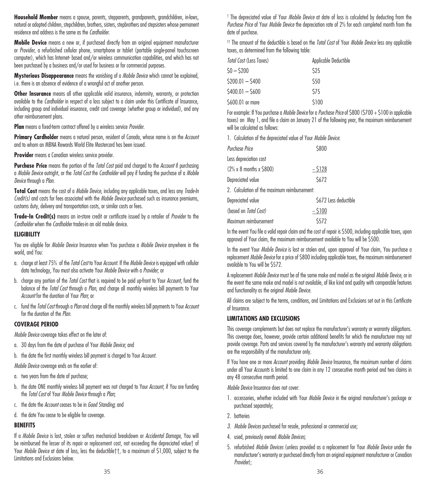**Household Member** means a spouse, parents, stepparents, grandparents, grandchildren, in-laws, natural or adopted children, stepchildren, brothers, sisters, stepbrothers and stepsisters whose permanent residence and address is the same as the *Cardholder*.

**Mobile Device** means a new or, if purchased directly from an original equipment manufacturer or *Provider*, a refurbished cellular phone, smartphone or tablet (portable single-panel touchscreen computer), which has Internet- based and/or wireless communication capabilities, and which has not been purchased by a business and/or used for business or for commercial purposes.

**Mysterious Disappearance** means the vanishing of a *Mobile Device* which cannot be explained, i.e. there is an absence of evidence of a wrongful act of another person.

**Other Insurance** means all other applicable valid insurance, indemnity, warranty, or protection available to the *Cardholder* in respect of a loss subject to a claim under this Certificate of Insurance, including group and individual insurance, credit card coverage (whether group or individual), and any other reimbursement plans.

**Plan** means a fixed-term contract offered by a wireless service *Provider*.

**Primary Cardholder** means a natural person, resident of Canada, whose name is on the *Account* and to whom an MBNA Rewards World Elite Mastercard has been issued.

**Provider** means a Canadian wireless service provider.

**Purchase Price** means the portion of the *Total Cost* paid and charged to the *Account* if purchasing a *Mobile Device* outright, or the *Total Cost* the *Cardholder* will pay if funding the purchase of a *Mobile Device* through a *Plan*.

**Total Cost** means the cost of a *Mobile Device*, including any applicable taxes, and less any *Trade-In Credit(s)* and costs for fees associated with the *Mobile Device* purchased such as insurance premiums, customs duty, delivery and transportation costs, or similar costs or fees.

**Trade-In Credit(s)** means an in-store credit or certificate issued by a retailer of *Provider* to the *Cardholder* when the *Cardholder* trades-in an old mobile device.

### **ELIGIBILITY**

You are eligible for *Mobile Device* Insurance when You purchase a *Mobile Device* anywhere in the world, and You:

- a. charge at least 75% of the *Total Cost* to Your *Account*. If the *Mobile Device* is equipped with cellular data technology, You must also activate Your *Mobile Device* with a *Provider*; or
- b. charge any portion of the *Total Cost* that is required to be paid up-front to Your *Account*, fund the balance of the *Total Cost* through a *Plan*, and charge all monthly wireless bill payments to Your *Account* for the duration of Your *Plan*; or
- c. fund the *Total Cost* through a *Plan* and charge all the monthly wireless bill payments to Your *Account* for the duration of the *Plan*.

### **COVERAGE PERIOD**

*Mobile Device* coverage takes effect on the later of:

- a. 30 days from the date of purchase of Your *Mobile Device*; and
- b. the date the first monthly wireless bill payment is charged to Your *Account*.
- *Mobile Device* coverage ends on the earlier of:
- a. two years from the date of purchase;
- b. the date ONE monthly wireless bill payment was not charged to Your *Account*, if You are funding the *Total Cost* of Your *Mobile Device* through a *Plan*;
- c. the date the *Account* ceases to be in *Good Standing*; and
- d. the date You cease to be eligible for coverage.

### **BENEFITS**

If a *Mobile Device* is lost, stolen or suffers mechanical breakdown or *Accidental Damage*, You will be reimbursed the lesser of its repair or replacement cost, not exceeding the depreciated value† of Your *Mobile Device* at date of loss, less the deductible††, to a maximum of \$1,000, subject to the Limitations and Exclusions below.

† The depreciated value of Your *Mobile Device* at date of loss is calculated by deducting from the *Purchase Price* of Your *Mobile Device* the depreciation rate of 2% for each completed month from the date of purchase.

†† The amount of the deductible is based on the *Total Cost* of Your *Mobile Device* less any applicable taxes, as determined from the following table:

| Total Cost (Less Taxes) | Applicable Deductible |  |
|-------------------------|-----------------------|--|
| SO — S200               | \$25                  |  |
| S200.01 — S400          | \$50                  |  |
| \$400.01 — \$600        | \$75                  |  |
| \$600.01 or more        | \$100                 |  |

For example: If You purchase a *Mobile Device* for a *Purchase Price* of \$800 (\$700 + \$100 in applicable taxes) on May 1, and file a claim on January 21 of the following year, the maximum reimbursement will be calculated as follows:

1. Calculation of the depreciated value of Your *Mobile Device*:

| Purchase Price                               | \$800                 |
|----------------------------------------------|-----------------------|
| Less depreciation cost                       |                       |
| $(2\% \times 8 \text{ months} \times $800)$  | $-5128$               |
| Depreciated value                            | \$672                 |
| 2. Calculation of the maximum reimbursement: |                       |
| Depreciated value                            | \$672 Less deductible |
| (based on Total Cost)                        | $-5100$               |
| Maximum reimbursement                        | \$572                 |

In the event You file a valid repair claim and the cost of repair is \$500, including applicable taxes, upon approval of Your claim, the maximum reimbursement available to You will be \$500.

In the event Your *Mobile Device* is lost or stolen and, upon approval of Your claim, You purchase a replacement *Mobile Device* for a price of \$800 including applicable taxes, the maximum reimbursement available to You will be \$572.

A replacement *Mobile Device* must be of the same make and model as the original *Mobile Device*, or in the event the same make and model is not available, of like kind and quality with comparable features and functionality as the original *Mobile Device*.

All claims are subject to the terms, conditions, and Limitations and Exclusions set out in this Certificate of Insurance.

### **LIMITATIONS AND EXCLUSIONS**

This coverage complements but does not replace the manufacturer's warranty or warranty obligations. This coverage does, however, provide certain additional benefits for which the manufacturer may not provide coverage. Parts and services covered by the manufacturer's warranty and warranty obligations are the responsibility of the manufacturer only.

If You have one or more *Account* providing *Mobile Device* Insurance, the maximum number of claims under all Your *Accounts* is limited to one claim in any 12 consecutive month period and two claims in any 48 consecutive month period.

*Mobile Device* Insurance does not cover:

- 1. accessories, whether included with Your *Mobile Device* in the original manufacturer's package or purchased separately;
- 2. batteries
- *3. Mobile Devices* purchased for resale, professional or commercial use;
- 4. used, previously owned *Mobile Devices*;
- 5. refurbished *Mobile Devices* (unless provided as a replacement for Your *Mobile Device* under the manufacturer's warranty or purchased directly from an original equipment manufacturer or Canadian *Provider*);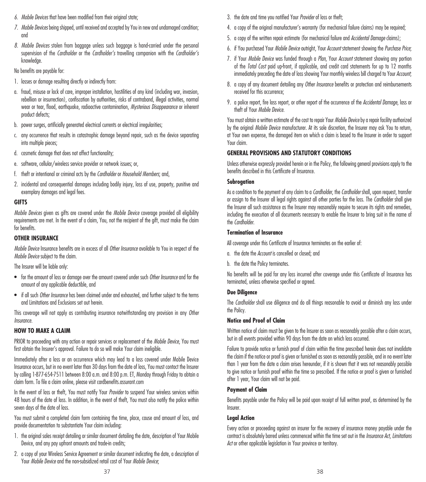- *6. Mobile Devices* that have been modified from their original state;
- *7. Mobile Devices* being shipped, until received and accepted by You in new and undamaged condition; and
- *8. Mobile Devices* stolen from baggage unless such baggage is hand-carried under the personal supervision of the *Cardholder* or the *Cardholder's* travelling companion with the *Cardholder's*  knowledge.

No benefits are payable for:

- 1. losses or damage resulting directly or indirectly from:
- a. fraud, misuse or lack of care, improper installation, hostilities of any kind (including war, invasion, rebellion or insurrection), confiscation by authorities, risks of contraband, illegal activities, normal wear or tear, flood, earthquake, radioactive contamination, *Mysterious Disappearance* or inherent product defects;
- b. power surges, artificially generated electrical currents or electrical irregularities;
- c. any occurrence that results in catastrophic damage beyond repair, such as the device separating into multiple pieces;
- d. cosmetic damage that does not affect functionality;
- e. software, cellular/wireless service provider or network issues; or,
- f. theft or intentional or criminal acts by the *Cardholder* or *Household Members*; and,
- 2. incidental and consequential damages including bodily injury, loss of use, property, punitive and exemplary damages and legal fees.

### **GIFTS**

*Mobile Devices* given as gifts are covered under the *Mobile Device* coverage provided all eligibility requirements are met. In the event of a claim, You, not the recipient of the gift, must make the claim for benefits.

## **OTHER INSURANCE**

*Mobile Device* Insurance benefits are in excess of all *Other Insurance* available to You in respect of the *Mobile Device* subject to the claim.

The Insurer will be liable only:

- for the amount of loss or damage over the amount covered under such *Other Insurance* and for the amount of any applicable deductible, and
- if all such *Other Insurance* has been claimed under and exhausted, and further subject to the terms and Limitations and Exclusions set out herein.

This coverage will not apply as contributing insurance notwithstanding any provision in any *Other Insurance.*

# **HOW TO MAKE A CLAIM**

PRIOR to proceeding with any action or repair services or replacement of the *Mobile Device*, You must first obtain the Insurer's approval. Failure to do so will make Your claim ineligible.

Immediately after a loss or an occurrence which may lead to a loss covered under Mobile Device Insurance occurs, but in no event later than 30 days from the date of loss, You must contact the Insurer by calling 1-877-654-7511 between 8:00 a.m. and 8:00 p.m. ET, Monday through Friday to obtain a claim form. To file a claim online, please visit cardbenefits.assurant.com

In the event of loss or theft, You must notify Your *Provider* to suspend Your wireless services within 48 hours of the date of loss. In addition, in the event of theft, You must also notify the police within seven days of the date of loss.

You must submit a completed claim form containing the time, place, cause and amount of loss, and provide documentation to substantiate Your claim including:

- 1. the original sales receipt detailing or similar document detailing the date, description of Your Mobile Device, and any pay upfront amounts and trade-in credits;
- 2. a copy of your Wireless Service Agreement or similar document indicating the date, a description of Your *Mobile Device* and the non-subsidized retail cost of Your *Mobile Device*;
- 3. the date and time you notified Your *Provider* of loss or theft;
- 4. a copy of the original manufacturer's warranty (for mechanical failure claims) may be required;
- 5. a copy of the written repair estimate (for mechanical failure and *Accidental Damage* claims);
- 6. if You purchased Your *Mobile Device* outright, Your *Account* statement showing the *Purchase Price*;
- 7. if Your *Mobile Device* was funded through a *Plan*, Your *Account* statement showing any portion of the *Total Cost* paid up-front, if applicable, and credit card statements for up to 12 months immediately preceding the date of loss showing Your monthly wireless bill charged to Your *Account*;
- 8. a copy of any document detailing any *Other Insurance* benefits or protection and reimbursements received for this occurrence;
- 9. a police report, fire loss report, or other report of the occurrence of the *Accidental Damage*, loss or theft of Your *Mobile Device*.

You must obtain a written estimate of the cost to repair Your *Mobile Device* by a repair facility authorized by the original *Mobile Device* manufacturer. At its sole discretion, the Insurer may ask You to return, at Your own expense, the damaged item on which a claim is based to the Insurer in order to support Your claim.

## **GENERAL PROVISIONS AND STATUTORY CONDITIONS**

Unless otherwise expressly provided herein or in the Policy, the following general provisions apply to the benefits described in this Certificate of Insurance.

### **Subrogation**

As a condition to the payment of any claim to a *Cardholder*, the *Cardholder* shall, upon request, transfer or assign to the Insurer all legal rights against all other parties for the loss. The *Cardholder* shall give the Insurer all such assistance as the Insurer may reasonably require to secure its rights and remedies, including the execution of all documents necessary to enable the Insurer to bring suit in the name of the *Cardholder*.

### **Termination of Insurance**

All coverage under this Certificate of Insurance terminates on the earlier of:

- a. the date the *Account* is cancelled or closed; and
- b. the date the Policy terminates.

No benefits will be paid for any loss incurred after coverage under this Certificate of Insurance has terminated, unless otherwise specified or agreed.

### **Due Diligence**

The *Cardholder* shall use diligence and do all things reasonable to avoid or diminish any loss under the Policy.

## **Notice and Proof of Claim**

Written notice of claim must be given to the Insurer as soon as reasonably possible after a claim occurs, but in all events provided within 90 days from the date on which loss occurred.

Failure to provide notice or furnish proof of claim within the time prescribed herein does not invalidate the claim if the notice or proof is given or furnished as soon as reasonably possible, and in no event later than 1 year from the date a claim arises hereunder, if it is shown that it was not reasonably possible to give notice or furnish proof within the time so prescribed. If the notice or proof is given or furnished after 1 year, Your claim will not be paid.

## **Payment of Claim**

Benefits payable under the Policy will be paid upon receipt of full written proof, as determined by the Insurer.

## **Legal Action**

Every action or proceeding against an insurer for the recovery of insurance money payable under the contract is absolutely barred unless commenced within the time set out in the *Insurance Act, Limitations Act* or other applicable legislation in Your province or territory.